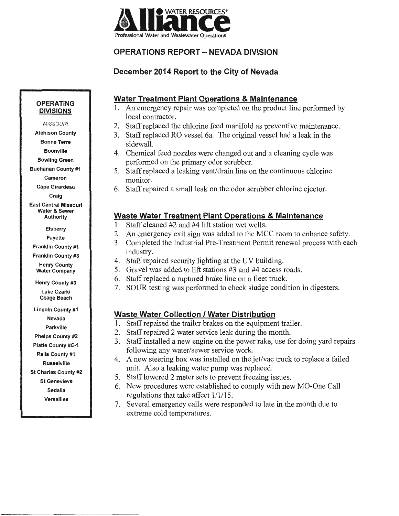

# **December 2014 Report to the City of Nevada**

### **Water Treatment Plant Operations & Maintenance**

- 1. An emergency repair was completed on the product line performed by local contractor.
- 2. Staff replaced the chlorine feed manifold as preventive maintenance.
- 3. Staff replaced RO vessel 6a. The original vessel had a leak in the sidewall.
- 4. Chemical feed nozzles were changed out and a cleaning cycle was performed on the primary odor scrubber.
- 5. Staff replaced a leaking vent/drain line on the continuous chlorine monitor.
- 6. Staff repaired a small leak on the odor scrubber chlorine ejector.

# **Waste Water Treatment Plant Operations & Maintenance**

- 1. Staff cleaned #2 and #4 lift station wet wells.
- 2. An emergency exit sign was added to the MCC room to enhance safety.
- 3. Completed the Industrial Pre-Treatment Permit renewal process with each industry.
- 4. Staff repaired security lighting at the UV building.
- 5. Gravel was added to lift stations #3 and #4 access roads.
- 6. Staff replaced a ruptured brake line on a fleet truck.
- 7. SOUR testing was performed to check sludge condition in digesters.

# **Waste Water Collection I Water Distribution**

- 1. Staff repaired the trailer brakes on the equipment trailer.
- 2. Staff repaired 2 water service leak during the month.
- 3. Staff installed a new engine on the power rake, use for doing yard repairs following any water/sewer service work.
- 4. A new steering box was installed on the jet/vac truck to replace a failed unit. Also a leaking water pump was replaced.
- 5. Staff lowered 2 meter sets to prevent freezing issues.
- 6. New procedures were established to comply with new MO-One Call regulations that take affect  $1/1/15$ .
- 7. Several emergency calls were responded to late in the month due to extreme cold temperatures.

#### **OPERATING DIVISIONS**

**MISSOURI** 

Atchison County

Bonne Terre

Boonville

Bowling Green Buchanan County #1

Cameron

Cape Girardeau

Craig

East Central Missouri Water & Sewer Authority

Elsberry

Fayette

Franklin County #1

Franklin County #3 Henry County Water Company

Henry County #3

Lake Ozark/ Osage Beach

Lincoln County #1 Nevada Parkville

Phelps County #2 Platte County #C-1

Ralls County #1

Russelville

St Charles County #2

St Genevieve

Sedalia

Versailles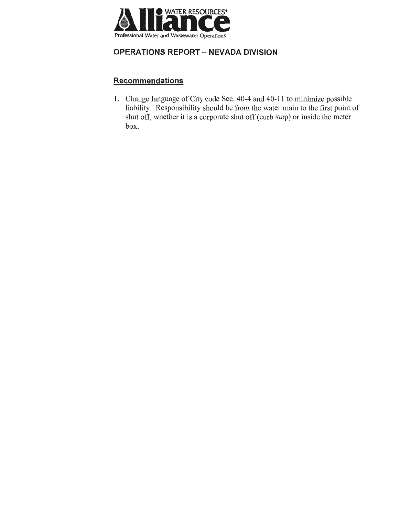

# **Recommendations**

1. Change language of City code Sec. 40-4 and 40-11 to minimize possible liability. Responsibility should be from the water main to the first point of shut off, whether it is a corporate shut off (curb stop) or inside the meter box.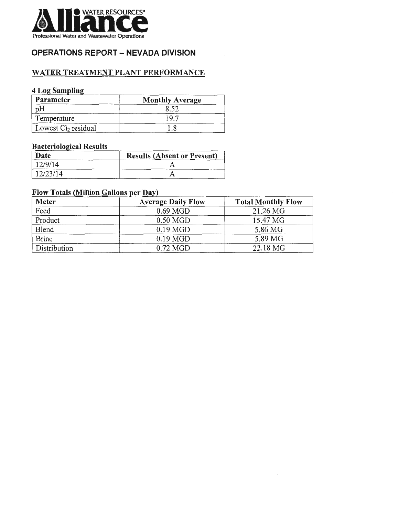

# WATER TREATMENT PLANT PERFORMANCE

### 4 Log Sampling

| Parameter             | <b>Monthly Average</b> |
|-----------------------|------------------------|
| pΗ                    |                        |
| Temperature           | 1 Q G                  |
| Lowest $Cl2$ residual |                        |

### **Bacteriological Results**

| Date     | <b>Results (Absent or Present)</b> |
|----------|------------------------------------|
| 12/9/14  |                                    |
| 12/23/14 |                                    |

#### Flow Totals (Million Gallons per Day)

| <b>Meter</b> | <b>Average Daily Flow</b> | <b>Total Monthly Flow</b> |
|--------------|---------------------------|---------------------------|
| Feed         | $0.69$ MGD                | 21.26 MG                  |
| Product      | $0.50$ MGD                | 15.47 MG                  |
| Blend        | $0.19$ MGD                | 5.86 MG                   |
| <b>Brine</b> | $0.19$ MGD                | 5.89 MG                   |
| Distribution | $0.72 \text{ MGD}$        | 22.18 MG                  |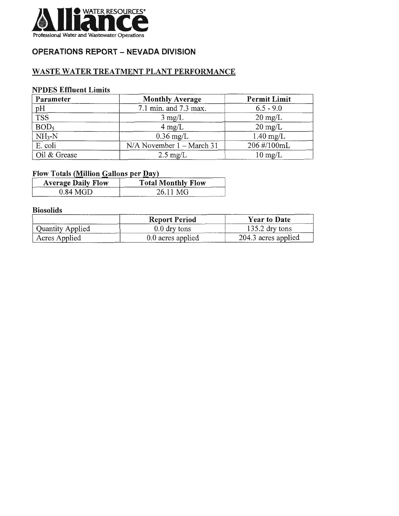

# WASTE WATER TREATMENT PLANT PERFORMANCE

#### NPDES Effluent Limits

| Parameter        | <b>Monthly Average</b>        | <b>Permit Limit</b> |  |  |
|------------------|-------------------------------|---------------------|--|--|
|                  | 7.1 min. and 7.3 max.         | $6.5 - 9.0$         |  |  |
| $\frac{pH}{TSS}$ | $3 \text{ mg/L}$              | $20 \text{ mg/L}$   |  |  |
| BOD <sub>5</sub> | $4 \text{ mg/L}$              | $20 \text{ mg/L}$   |  |  |
| $NH3-N$          | $0.36$ mg/L                   | $1.40$ mg/L         |  |  |
| E. coli          | $N/A$ November $1 - March 31$ | 206 #/100mL         |  |  |
| Oil & Grease     | $2.5 \text{ mg/L}$            | $10 \text{ mg/L}$   |  |  |

# **Flow Totals (Million Gallons per Day)**

| <b>Average Daily Flow</b> | <b>Total Monthly Flow</b> |
|---------------------------|---------------------------|
| $0.84$ MGD                | 26.11 MG                  |

#### Biosolids

|                  | <b>Report Period</b> | <b>Year to Date</b> |
|------------------|----------------------|---------------------|
| Quantity Applied | $0.0$ dry tons       | $135.2$ dry tons    |
| Acres Applied    | 0.0 acres applied    | 204.3 acres applied |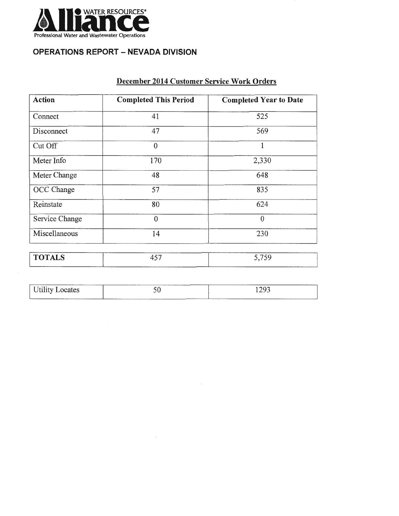

| December 2014 Customer Service Work Orders |  |
|--------------------------------------------|--|
|                                            |  |

| <b>Action</b>  | <b>Completed This Period</b> | <b>Completed Year to Date</b> |  |  |  |
|----------------|------------------------------|-------------------------------|--|--|--|
| Connect        | 41                           | 525                           |  |  |  |
| Disconnect     | 47                           | 569                           |  |  |  |
| Cut Off        | $\theta$                     | $\mathbf{1}$                  |  |  |  |
| Meter Info     | 170                          | 2,330                         |  |  |  |
| Meter Change   | 48                           | 648                           |  |  |  |
| OCC Change     | 57                           | 835                           |  |  |  |
| Reinstate      | 80                           | 624                           |  |  |  |
| Service Change | $\theta$                     | $\theta$                      |  |  |  |
| Miscellaneous  | 14                           | 230                           |  |  |  |
| <b>TOTALS</b>  | 457                          | 5,759                         |  |  |  |

| <b>BRANDWOOD</b> | ________<br>$\sim$ $\sim$                                      | $\cap$           |
|------------------|----------------------------------------------------------------|------------------|
| cates<br>TV      | ◡◡                                                             | ∼<br>-- <i>-</i> |
| ________         | ---------<br><b>NEW YORK OF BUILDING COMPANY AND RESIDENTS</b> | ______           |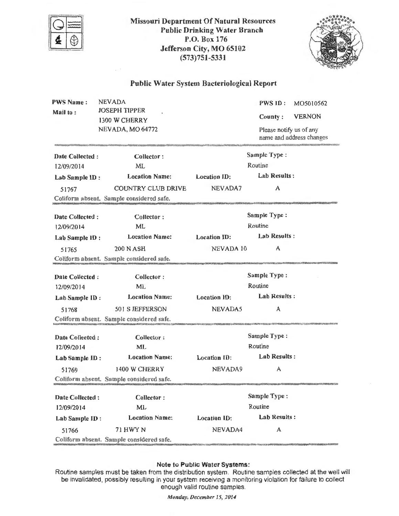

Missouri Department Of Natural Resources Public Drinking Water Branch P.O. Box 176 Jefferson City, MO 65102 (573)751-5331



#### Public Water System Bacteriological Report

| <b>PWS Name:</b><br>Mail to:  | <b>NEVADA</b><br><b>JOSEPH TIPPER</b><br>1300 W CHERRY<br>NEVADA, MO 64772 | <b>PWS ID:</b><br>MO5010562<br><b>VERNON</b><br>County:<br>Please notify us of any<br>name and address changes |                                                                                                                                                                                                                                |  |  |
|-------------------------------|----------------------------------------------------------------------------|----------------------------------------------------------------------------------------------------------------|--------------------------------------------------------------------------------------------------------------------------------------------------------------------------------------------------------------------------------|--|--|
| Date Collected:               | Collector:                                                                 |                                                                                                                | Sample Type:                                                                                                                                                                                                                   |  |  |
| 12/09/2014                    | ML                                                                         |                                                                                                                | Routine                                                                                                                                                                                                                        |  |  |
| Lab Sample ID:                | <b>Location Name:</b>                                                      | <b>Location ID:</b>                                                                                            | Lab Results:                                                                                                                                                                                                                   |  |  |
| 51767                         | COUNTRY CLUB DRIVE                                                         | NEVADA7                                                                                                        | А                                                                                                                                                                                                                              |  |  |
|                               | Coliform absent. Sample considered safe.                                   |                                                                                                                | ALANDA ANDREWS AND AN ANGELES AND ANGELES AND A MARINA ANGELES ANGELES ANGELES ANGELES ANGELES ANGELES ANGELES                                                                                                                 |  |  |
| Date Collected:               | Collector:                                                                 |                                                                                                                | Sample Type:                                                                                                                                                                                                                   |  |  |
| 12/09/2014                    | ML                                                                         |                                                                                                                | Routine                                                                                                                                                                                                                        |  |  |
| Lab Sample ID:                | <b>Location Name:</b>                                                      | <b>Location ID:</b>                                                                                            | <b>Lab Results:</b>                                                                                                                                                                                                            |  |  |
| 51765                         | <b>200 N ASH</b>                                                           | NEVADA 10                                                                                                      | A                                                                                                                                                                                                                              |  |  |
|                               | Coliform absent. Sample considered safe.                                   |                                                                                                                |                                                                                                                                                                                                                                |  |  |
| Date Collected:               | Collector:                                                                 |                                                                                                                | Sample Type:                                                                                                                                                                                                                   |  |  |
| 12/09/2014                    | <b>ML</b>                                                                  | Routine                                                                                                        |                                                                                                                                                                                                                                |  |  |
| Lab Sample ID:                | <b>Location Name:</b>                                                      | <b>Location ID:</b>                                                                                            | <b>Lab Results:</b>                                                                                                                                                                                                            |  |  |
| 51768                         | 501 S JEFFERSON                                                            | NEVADA5                                                                                                        | А                                                                                                                                                                                                                              |  |  |
|                               | Coliform absent. Sample considered safe.                                   |                                                                                                                |                                                                                                                                                                                                                                |  |  |
| Date Collected:<br>12/09/2014 | Collector:<br>ML.                                                          |                                                                                                                | Sample Type:<br>Routine                                                                                                                                                                                                        |  |  |
| Lab Sample ID:                | <b>Location Name:</b>                                                      | <b>Location ID:</b>                                                                                            | Lab Results:                                                                                                                                                                                                                   |  |  |
| 51769                         | 1400 W CHERRY                                                              | NEVADA9                                                                                                        | A                                                                                                                                                                                                                              |  |  |
|                               | Coliform absent. Sample considered safe.                                   |                                                                                                                | and the state of the state of the state of a subsequent of the state of the state of the state of the state of the state of the state of the state of the state of the state of the state of the state of the state of the sta |  |  |
| Date Collected:<br>12/09/2014 | Collector:<br>ML                                                           |                                                                                                                | Sample Type:<br>Routine                                                                                                                                                                                                        |  |  |
| Lab Sample ID:                | <b>Location Name:</b>                                                      | Lab Results:<br><b>Location ID:</b>                                                                            |                                                                                                                                                                                                                                |  |  |
| 51766                         | 71 HWY N                                                                   | NEVADA4                                                                                                        | А                                                                                                                                                                                                                              |  |  |
|                               | Coliform absent. Sample considered safe.                                   |                                                                                                                |                                                                                                                                                                                                                                |  |  |

#### Note to Public Water Systems :

Routine samples must be taken from the distribution system. Routine samples collected at the well will be invalidated, possibly resulting in your system receiving a monitoring violation for failure to collect enough valid routine samples.

*Monday, December 15, 2014*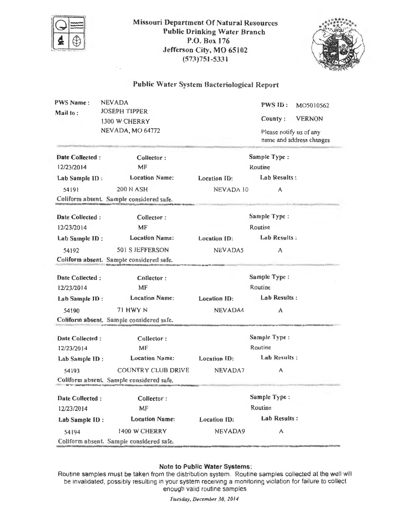

Missouri Department Of Natural Resources Public Drinking Water Branch P.O. Box 176 Jefferson City, MO 65102 (573)751-5331



# Public Water System Bacteriological Report

| <b>PWS Name:</b><br>Mail to:            | <b>NEVADA</b><br><b>JOSEPH TIPPER</b><br>1300 W CHERRY<br><b>NEVADA, MO 64772</b> | PWS ID:<br>MO5010562<br>County:<br><b>VERNON</b><br>Please notify us of any<br>name and address changes |                                                                    |  |
|-----------------------------------------|-----------------------------------------------------------------------------------|---------------------------------------------------------------------------------------------------------|--------------------------------------------------------------------|--|
| Date Collected:<br>12/23/2014           | Collector:<br>MF                                                                  |                                                                                                         | Sample Type:<br>Routine                                            |  |
| Lab Sample ID:                          | <b>Location Name:</b>                                                             | Location ID:                                                                                            | Lab Results:                                                       |  |
| 54191                                   | <b>200 N ASH</b>                                                                  | NEVADA 10                                                                                               | А                                                                  |  |
|                                         | Coliform absent. Sample considered safe.                                          |                                                                                                         |                                                                    |  |
| Date Collected:                         | Collector:                                                                        |                                                                                                         | Sample Type:                                                       |  |
| 12/23/2014                              | MF                                                                                |                                                                                                         | Routine                                                            |  |
| Lab Sample ID:                          | <b>Location Name:</b>                                                             | <b>Location ID:</b>                                                                                     | Lab Results:                                                       |  |
| 54192                                   | 501 S JEFFERSON                                                                   | NEVADA5                                                                                                 | A                                                                  |  |
|                                         | Coliform absent. Sample considered safe.                                          |                                                                                                         |                                                                    |  |
| Date Collected:                         | Collector:                                                                        |                                                                                                         | Sample Type:                                                       |  |
| 12/23/2014                              | MF                                                                                | Routine                                                                                                 |                                                                    |  |
| Lab Sample ID:                          | <b>Location Name:</b>                                                             | <b>Location ID:</b>                                                                                     | Lab Results:                                                       |  |
| 54190                                   | <b>71 HWY N</b>                                                                   | NEVADA4                                                                                                 | А                                                                  |  |
|                                         | Coliform absent. Sample considered safe.                                          |                                                                                                         |                                                                    |  |
| Date Collected:                         | Collector:                                                                        |                                                                                                         | Sample Type:                                                       |  |
| 12/23/2014                              | $\overline{\text{MF}}$                                                            |                                                                                                         | Routine                                                            |  |
| Lab Sample ID:                          | <b>Location Name:</b>                                                             | Location ID:                                                                                            | Lab Results:                                                       |  |
| 54193                                   | COUNTRY CLUB DRIVE                                                                | NEVADA7                                                                                                 | A                                                                  |  |
|                                         | Coliform absent. Sample considered safe.                                          |                                                                                                         |                                                                    |  |
| Date Collected:                         | Collector:                                                                        |                                                                                                         | Sample Type:                                                       |  |
| MF<br>12/23/2014                        |                                                                                   |                                                                                                         | Routine                                                            |  |
| <b>Location Name:</b><br>Lab Sample ID: |                                                                                   | Location ID:                                                                                            | Lab Results:                                                       |  |
| 1400 W CHERRY<br>54194                  |                                                                                   | NEVADA9                                                                                                 | A                                                                  |  |
|                                         | Coliform absent. Sample considered safe.                                          |                                                                                                         | ht und bild state that be before the bill be a find on the base of |  |

#### Note to Public Water Systems:

Routine samples must be taken from the distribution system. Routine samples collected at the well will be invalidated, possibly resulting in your system receiving a monitoring violation for failure to collect enough valid routine samples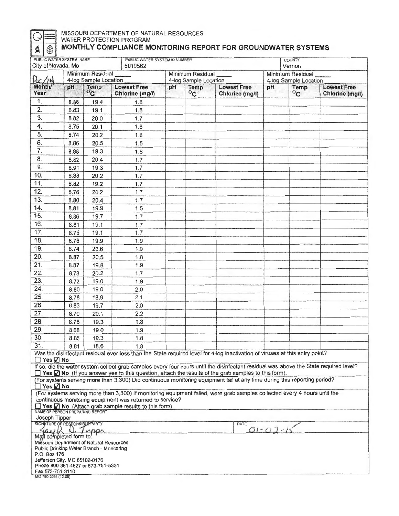# **GERAL MISSOURI DEPARTMENT OF NATURAL RESOURCES**<br>WATER PROTECTION PROGRAM  $\textbf{Q} \textcolor{red}{\bigcirc} \textcolor{red}{\textbf{M}}$  MONTHLY COMPLIANCE MONITORING REPORT FOR GROUNDWATER SYSTEMS

| City of Nevada, Mo                                                       | PUBLIC WATER SYSTEM NAME<br>PUBLIC WATER SYSTEM ID NUMBER<br>5010562 |                                                                                       |                                                                                                                                                                                                                                                                                                                                                                                                                                                                                                            | <b>COUNTY</b><br>Vernon                   |                  |                                       |                                           |                     |                                       |
|--------------------------------------------------------------------------|----------------------------------------------------------------------|---------------------------------------------------------------------------------------|------------------------------------------------------------------------------------------------------------------------------------------------------------------------------------------------------------------------------------------------------------------------------------------------------------------------------------------------------------------------------------------------------------------------------------------------------------------------------------------------------------|-------------------------------------------|------------------|---------------------------------------|-------------------------------------------|---------------------|---------------------------------------|
| $Re/\mu$                                                                 |                                                                      | Minimum Residual<br>4-log Sample Location                                             |                                                                                                                                                                                                                                                                                                                                                                                                                                                                                                            | Minimum Residual<br>4-log Sample Location |                  |                                       | Minimum Residual<br>4-log Sample Location |                     |                                       |
| <b>Month</b><br>Year                                                     | pH.                                                                  | <b>Temp</b><br>$^{o}$ C                                                               | <b>Lowest Free</b><br>Chlorine (mg/l)                                                                                                                                                                                                                                                                                                                                                                                                                                                                      | pH                                        | Temp<br>$^{0}$ C | <b>Lowest Free</b><br>Chlorine (mg/l) | pH                                        | Temp<br>$\rm ^{o}c$ | <b>Lowest Free</b><br>Chlorine (mg/l) |
| 1.                                                                       | 8.86                                                                 | 19.4                                                                                  | 1.8                                                                                                                                                                                                                                                                                                                                                                                                                                                                                                        |                                           |                  |                                       |                                           |                     |                                       |
| 2.                                                                       | 8.83                                                                 | 19.1                                                                                  | 1.8                                                                                                                                                                                                                                                                                                                                                                                                                                                                                                        |                                           |                  |                                       |                                           |                     |                                       |
| $\overline{3}$                                                           | 8.82                                                                 | 20.0                                                                                  | 1.7                                                                                                                                                                                                                                                                                                                                                                                                                                                                                                        |                                           |                  |                                       |                                           |                     |                                       |
| 4.                                                                       | 8.75                                                                 | 20.1                                                                                  | 1.6                                                                                                                                                                                                                                                                                                                                                                                                                                                                                                        |                                           |                  |                                       |                                           |                     |                                       |
| $\overline{5}$                                                           | 8.74                                                                 | 20.2                                                                                  | 1.6                                                                                                                                                                                                                                                                                                                                                                                                                                                                                                        |                                           |                  |                                       |                                           |                     |                                       |
| 6.                                                                       | 8.86                                                                 | 20.5                                                                                  | 1.5                                                                                                                                                                                                                                                                                                                                                                                                                                                                                                        |                                           |                  |                                       |                                           |                     |                                       |
| $\overline{7}$ .                                                         | 8.88                                                                 | 19.3                                                                                  | 1.8                                                                                                                                                                                                                                                                                                                                                                                                                                                                                                        |                                           |                  |                                       |                                           |                     |                                       |
| 8.                                                                       | 8.82                                                                 | 20.4                                                                                  | 1.7                                                                                                                                                                                                                                                                                                                                                                                                                                                                                                        |                                           |                  |                                       |                                           |                     |                                       |
| 9.                                                                       | 8.91                                                                 | 19.3                                                                                  | 1.7                                                                                                                                                                                                                                                                                                                                                                                                                                                                                                        |                                           |                  |                                       |                                           |                     |                                       |
| 10.                                                                      | 8.88                                                                 | 20.2                                                                                  | 1.7                                                                                                                                                                                                                                                                                                                                                                                                                                                                                                        |                                           |                  |                                       |                                           |                     |                                       |
| 11.                                                                      | 8.82                                                                 | 19.2                                                                                  | 1.7                                                                                                                                                                                                                                                                                                                                                                                                                                                                                                        |                                           |                  |                                       |                                           |                     |                                       |
| 12.                                                                      | 8.76                                                                 | 20.2                                                                                  | 1.7                                                                                                                                                                                                                                                                                                                                                                                                                                                                                                        |                                           |                  |                                       |                                           |                     |                                       |
| 13.                                                                      | 8.80                                                                 | 20.4                                                                                  | 1.7                                                                                                                                                                                                                                                                                                                                                                                                                                                                                                        |                                           |                  |                                       |                                           |                     |                                       |
| 14.                                                                      | 8.81                                                                 | 19.9                                                                                  | 1.5                                                                                                                                                                                                                                                                                                                                                                                                                                                                                                        |                                           |                  |                                       |                                           |                     |                                       |
| 15.                                                                      | 8.86                                                                 | 19.7                                                                                  | 1.7                                                                                                                                                                                                                                                                                                                                                                                                                                                                                                        |                                           |                  |                                       |                                           |                     |                                       |
| 16.                                                                      | 8.81                                                                 | 19.1                                                                                  | 1.7                                                                                                                                                                                                                                                                                                                                                                                                                                                                                                        |                                           |                  |                                       |                                           |                     |                                       |
| 17.                                                                      | 8.76                                                                 | 19.1                                                                                  | 1.7                                                                                                                                                                                                                                                                                                                                                                                                                                                                                                        |                                           |                  |                                       |                                           |                     |                                       |
| 18.                                                                      | 8.76                                                                 | 19.9                                                                                  | 1.9                                                                                                                                                                                                                                                                                                                                                                                                                                                                                                        |                                           |                  |                                       |                                           |                     |                                       |
| 19.                                                                      | 8.74                                                                 | 20.6                                                                                  | 1.9                                                                                                                                                                                                                                                                                                                                                                                                                                                                                                        |                                           |                  |                                       |                                           |                     |                                       |
| 20.                                                                      | 8.87                                                                 | 20.5                                                                                  | 1.8                                                                                                                                                                                                                                                                                                                                                                                                                                                                                                        |                                           |                  |                                       |                                           |                     |                                       |
| 21.                                                                      | 8.87                                                                 | 19.8                                                                                  | 1.9                                                                                                                                                                                                                                                                                                                                                                                                                                                                                                        |                                           |                  |                                       |                                           |                     |                                       |
| 22.                                                                      | 8.73                                                                 | 20.2                                                                                  | 1.7                                                                                                                                                                                                                                                                                                                                                                                                                                                                                                        |                                           |                  |                                       |                                           |                     |                                       |
| 23.                                                                      | 8.72                                                                 | 19.0                                                                                  | 1.9                                                                                                                                                                                                                                                                                                                                                                                                                                                                                                        |                                           |                  |                                       |                                           |                     |                                       |
| 24.                                                                      | 8.80                                                                 | 19.0                                                                                  | 2.0                                                                                                                                                                                                                                                                                                                                                                                                                                                                                                        |                                           |                  |                                       |                                           |                     |                                       |
| 25.                                                                      | 8.78                                                                 | 18.9                                                                                  | 2.1                                                                                                                                                                                                                                                                                                                                                                                                                                                                                                        |                                           |                  |                                       |                                           |                     |                                       |
| 26.                                                                      | 8.83                                                                 | 19.7                                                                                  | 2.0                                                                                                                                                                                                                                                                                                                                                                                                                                                                                                        |                                           |                  |                                       |                                           |                     |                                       |
| 27.                                                                      | 8.70                                                                 | 20.1                                                                                  | 2.2                                                                                                                                                                                                                                                                                                                                                                                                                                                                                                        |                                           |                  |                                       |                                           |                     |                                       |
| 28.                                                                      | 8.78                                                                 | 19.3                                                                                  | 1.8                                                                                                                                                                                                                                                                                                                                                                                                                                                                                                        |                                           |                  |                                       |                                           |                     |                                       |
| 29.                                                                      | 8.68                                                                 | 19.0                                                                                  | 1.9                                                                                                                                                                                                                                                                                                                                                                                                                                                                                                        |                                           |                  |                                       |                                           |                     |                                       |
| 30.                                                                      | 8.85                                                                 | 19.3                                                                                  | 1.8                                                                                                                                                                                                                                                                                                                                                                                                                                                                                                        |                                           |                  |                                       |                                           |                     |                                       |
| 31.                                                                      | 8.81                                                                 | 18.6                                                                                  | 1.8                                                                                                                                                                                                                                                                                                                                                                                                                                                                                                        |                                           |                  |                                       |                                           |                     |                                       |
| $\Box$ Yes $\Box$ No                                                     |                                                                      |                                                                                       | Was the disinfectant residual ever less than the State required level for 4-log inactivation of viruses at this entry point?<br>If so, did the water system collect grab samples every four hours until the disinfectant residual was above the State required level?<br>□ Yes √ No (If you answer yes to this question, attach the results of the grab samples to this form).<br>(For systems serving more than 3,300) Did continuous monitoring equipment fail at any time during this reporting period? |                                           |                  |                                       |                                           |                     |                                       |
| $\Box$ Yes $\Box$ No                                                     |                                                                      |                                                                                       | (For systems serving more than 3,300) If monitoring equipment failed, were grab samples collected every 4 hours until the                                                                                                                                                                                                                                                                                                                                                                                  |                                           |                  |                                       |                                           |                     |                                       |
|                                                                          |                                                                      |                                                                                       | continuous monitoring equipment was returned to service?<br>$\Box$ Yes $\Box$ No (Attach grab sample results to this form)                                                                                                                                                                                                                                                                                                                                                                                 |                                           |                  |                                       |                                           |                     |                                       |
| Joseph Tipper                                                            |                                                                      | NAME OF PERSON PREPARING REPORT                                                       |                                                                                                                                                                                                                                                                                                                                                                                                                                                                                                            |                                           |                  |                                       |                                           |                     |                                       |
| SIGNATURE OF RESPONSIBLE PARTY                                           |                                                                      |                                                                                       |                                                                                                                                                                                                                                                                                                                                                                                                                                                                                                            |                                           |                  | DATE                                  |                                           |                     |                                       |
|                                                                          |                                                                      | $\infty$                                                                              |                                                                                                                                                                                                                                                                                                                                                                                                                                                                                                            |                                           |                  | $O1-C$                                |                                           |                     |                                       |
| Mall completed form to:<br>P.O. Box 176<br>Jefferson City, MO 65102-0176 |                                                                      | Missouri Department of Natural Resources<br>Public Drinking Water Branch - Monitoring |                                                                                                                                                                                                                                                                                                                                                                                                                                                                                                            |                                           |                  |                                       |                                           |                     |                                       |
| Fax 573-751-3110<br>MO 780-2094 (12-09)                                  |                                                                      | Phone 800-361-4827 or 573-751-5331                                                    |                                                                                                                                                                                                                                                                                                                                                                                                                                                                                                            |                                           |                  |                                       |                                           |                     |                                       |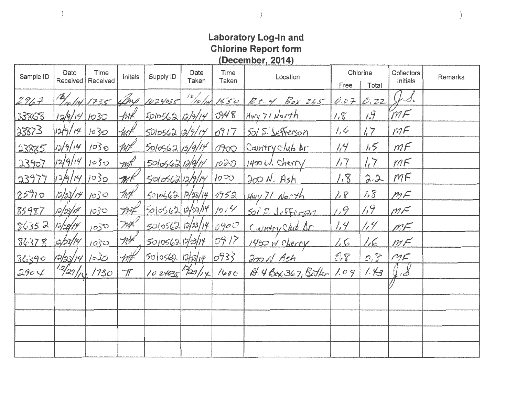# **Laboratory Log-In and Chlorine Report form December. 2014**

| Sample ID | Date<br>Received      | Time<br>Received | Initals                  | Supply ID             | Date<br>Taken        | Time<br>Taken | Location                    | Chlorine<br>Free | Total    | Collectors<br>Initials | Remarks |
|-----------|-----------------------|------------------|--------------------------|-----------------------|----------------------|---------------|-----------------------------|------------------|----------|------------------------|---------|
| 2967      | 12/ <sub>10</sub> /14 | 1735             | ams                      | 1024035               | $\frac{1}{2}$ /10/14 | 1550          | Rt-4 Box 265                | 0.07             | 0.22     |                        |         |
| 33868     | 12/9/14/1030          |                  | -frof $\ell$             | 500562/12/14          |                      | O478          | Hwy 71 North                | 1,8              | $14^{9}$ | MF                     |         |
| 33873     | 12/9/14               | 1030             | -hit                     | 50056213/9/14         |                      | 0917          | 501 S. Jefferson            | 1, 6             | 1,7      | mF                     |         |
| 23885     | 12/9/14               | 1030             | type                     | $500562\sqrt{5/9/14}$ |                      | 0000          | Country club or             | $\frac{1}{4}$    | 1.5      | mF                     |         |
| 23907     | 12/9/14               | 1030             | mh                       | 5010562139114         |                      | 1020          | 1400 W. Cherry              | /7               | 17       | M <sub>K</sub>         |         |
| 23977     | 12/9/14               | 7030             | $\mathcal{M}^k$          | 5010562129114         |                      | 1000          | $200 N.$ Ash                | 1.8              | 2.2      | MF                     |         |
| 85910     | 12/33/14              | 1030             | With <sup>k</sup>        | 500562/17/23/14       |                      | 0952          | $Hw + 71$ North             | 1.8              | 1.8      | mF                     |         |
| 85987     | 10/23/14              | 1030             | Firt                     | 5005621038/14/014     |                      |               | 501 S. Jefferson            | 1,9              | 7,9      | $m\!\vdash$            |         |
| 86352     | 13/23/14              | 1030             | mx                       | 50(0562 13/23/14)     |                      | 090C          | Cauvery Club Ar             | 1,4              | 1/4      | mr                     |         |
| 86378     | 12/53/14              | 1050             | my                       | 501056317/23/14       |                      | 0917          | 1450 W Cherry               | 1.6              | 1.6      | MF                     |         |
| 36390     | 12/33/14              | 1035             | mt                       | 5005681735114         |                      | $\frac{1}{2}$ | 200 N Ash                   | $C\mathcal{F}$   | 0.8      | MK                     |         |
| 2904      | 12/29/10              | 1730             | $\overline{\mathcal{N}}$ | 1024035 29/1x         |                      | 1600          | $\beta$ . 4 Box 367, Butler | 1.09             | 1.43     | f e S                  |         |
|           |                       |                  |                          |                       |                      |               |                             |                  |          |                        |         |
|           |                       |                  |                          |                       |                      |               |                             |                  |          |                        |         |
|           |                       |                  |                          |                       |                      |               |                             |                  |          |                        |         |
|           |                       |                  |                          |                       |                      |               |                             |                  |          |                        |         |
|           |                       |                  |                          |                       |                      |               |                             |                  |          |                        |         |

*)* 

)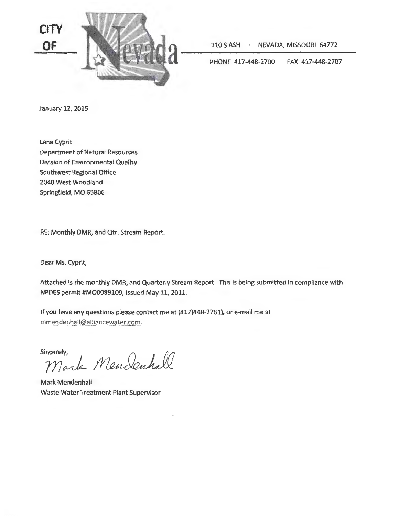

110 S ASH · NEVADA, MISSOURI 64772

PHONE 417-448-2700 · FAX 417-448-2707

January 12, 2015

Lana Cyprit Department of Natural Resources Division of Environmental Quality Southwest Regional Office 2040 West Woodland Springfield, MO 65806

RE: Monthly DMR, and Qtr. Stream Report.

Dear Ms. Cyprit,

Attached is the monthly DMR, and Quarterly Stream Report. This is being submitted in compliance with NPDES permit #M00089109, issued May 11, 2011.

If you have any questions please contact me at (417)448-2761), or e-mail me at rnmendenhall@alliancewater.com.

Sincerely,

incerely,<br>Mark Mendenhall

Mark Mendenhall Waste Water Treatment Plant Supervisor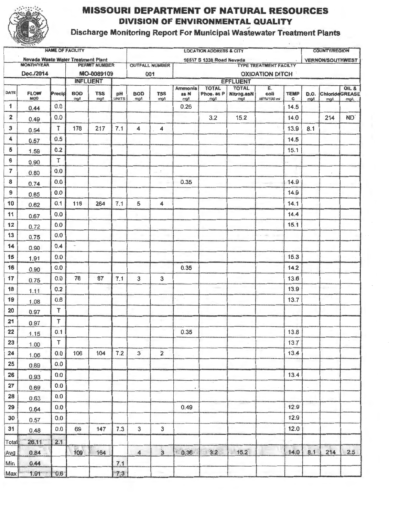

# **DIVISION OF ENVIRONMENTAL QUALITY<br>Discharge Monitoring Report For Municipal Wastewater Treatment Plants MISSOURI DEPARTMENT OF NATURAL RESOURCES**

|       | $M = 1.5$                                                      | <b>NAME OF FACILITY</b> |                    |                      |                    | <b>LOCATION ADDRESS &amp; CITY</b> |                         |                         |                                    |                                   |                                                             |                  | <b>COUNTY/REGION</b> |                              |                 |
|-------|----------------------------------------------------------------|-------------------------|--------------------|----------------------|--------------------|------------------------------------|-------------------------|-------------------------|------------------------------------|-----------------------------------|-------------------------------------------------------------|------------------|----------------------|------------------------------|-----------------|
|       | <b>Nevada Waste Water Treatment Plant</b><br><b>MONTHIYEAR</b> |                         |                    | <b>PERMIT NUMBER</b> |                    |                                    | <b>OUTFALL NUMBER</b>   |                         | 16517 S 1338 Road Nevada           |                                   | the company of the company<br><b>TYPE TREATMENT FACILTY</b> |                  |                      | <b>VERNON/SOUTHWEST</b>      |                 |
|       | Dec./2014                                                      |                         |                    | MO-0089109           |                    |                                    | 001                     |                         |                                    |                                   | <b>OXIDATION DITCH</b>                                      |                  |                      |                              |                 |
|       |                                                                |                         |                    | <b>INFLUENT</b>      |                    |                                    |                         |                         |                                    | <b>EFFLUENT</b>                   |                                                             |                  |                      |                              |                 |
| DATE  | <b>FLOW</b><br>MGD                                             | Precip                  | <b>BOD</b><br>mg/l | <b>TSS</b><br>mgA    | pH<br><b>UNITS</b> | <b>BOD</b><br>ng/l                 | <b>TSS</b><br>man       | Ammonia<br>as N<br>mg/t | <b>TOTAL</b><br>Phos. as P<br>mg/l | <b>TOTAL</b><br>Nitrog.asN<br>mgA | E.<br>coli<br>MPN/100 ml                                    | <b>TEMP</b><br>c | D.O.<br>mg/l         | <b>ChlorideGREASE</b><br>mgA | OIL &<br>mg/L   |
| 1     | 0.44                                                           | 0.0                     |                    |                      |                    |                                    |                         | 0.26                    |                                    |                                   |                                                             | 14.5             |                      |                              |                 |
| 2     | 0.49                                                           | 0.0                     |                    |                      |                    |                                    |                         |                         | 3.2                                | 15.2                              |                                                             | 14.0             |                      | 214                          | ND <sup>'</sup> |
| 3     | 0.54                                                           | $\mathsf{T}$            | 178                | 217                  | 7.1                | 4                                  | 4                       |                         |                                    |                                   |                                                             | 13.9             | 8.1                  |                              |                 |
| 4     | 0.57                                                           | 0.5                     |                    |                      |                    |                                    |                         |                         |                                    |                                   |                                                             | 14.5             |                      |                              |                 |
| 5     | 1.59                                                           | 0.2                     |                    |                      |                    |                                    |                         |                         |                                    |                                   |                                                             | 15.1             |                      |                              |                 |
| 6     | 0.90                                                           | $\top$                  |                    |                      |                    |                                    |                         |                         |                                    |                                   |                                                             |                  |                      |                              |                 |
| 7     | 0.80                                                           | 0.0                     |                    |                      |                    |                                    | $\sim$ $^{-1}$          |                         |                                    |                                   |                                                             |                  |                      |                              |                 |
| 8     | 0.74                                                           | 0.0                     |                    |                      |                    |                                    |                         | 0.35                    |                                    |                                   |                                                             | 14.9             |                      |                              |                 |
| 9     | 0.65                                                           | 0.0                     |                    |                      |                    |                                    |                         |                         |                                    |                                   |                                                             | 14.9             |                      |                              |                 |
| 10    | 0.62                                                           | 0.1                     | 118                | 264                  | 7.1                | 5                                  | 4                       |                         |                                    |                                   |                                                             | 14.1             |                      |                              |                 |
| 11    | 0.67                                                           | 0.0                     |                    |                      |                    |                                    |                         |                         |                                    |                                   |                                                             | 14.4             |                      |                              |                 |
| 12    | 0.72                                                           | 0.0                     |                    |                      |                    |                                    |                         |                         |                                    |                                   |                                                             | 15.1             |                      |                              |                 |
| 13    | 0.75                                                           | 0.0                     |                    |                      |                    |                                    |                         |                         |                                    |                                   |                                                             |                  |                      |                              |                 |
| 14    | 0.90                                                           | 0.4                     | $\frac{1}{2}$      |                      |                    |                                    |                         |                         |                                    |                                   |                                                             |                  |                      |                              |                 |
| 15    | 1.91                                                           | 0.0                     |                    |                      |                    |                                    |                         |                         |                                    |                                   |                                                             | 15.3             |                      |                              |                 |
| 16    | 0.90                                                           | 0.0                     |                    |                      |                    |                                    |                         | 0.35                    |                                    |                                   |                                                             | 14.2             |                      |                              |                 |
| 17    | 0.75                                                           | 0.0                     | 76                 | 87                   | 7.1                | 3                                  | 3                       |                         |                                    |                                   |                                                             | 13.6             |                      |                              |                 |
| 18    | 1.11                                                           | 0.2                     |                    |                      |                    |                                    |                         |                         |                                    |                                   |                                                             | 13.9             |                      | $-11$                        |                 |
| 19    | 1.08                                                           | 0.6                     |                    |                      |                    |                                    |                         |                         |                                    |                                   |                                                             | 13.7             |                      |                              |                 |
| 20    | 0.97                                                           | $\mathsf T$             |                    |                      |                    |                                    |                         |                         |                                    |                                   |                                                             |                  |                      |                              |                 |
| 21    | 0.97                                                           | $\mathsf{T}$            |                    |                      |                    |                                    | $\mathbf{r}$            |                         |                                    |                                   |                                                             |                  |                      |                              |                 |
| 22    | 1.15                                                           | 0.1                     |                    |                      |                    |                                    |                         | 0.35                    |                                    |                                   |                                                             | 13.8             |                      |                              |                 |
| 23    | 1.00                                                           | T.                      |                    |                      |                    |                                    |                         |                         |                                    |                                   |                                                             | 13.7             |                      |                              |                 |
| 24    | 1.06                                                           | 0.0                     | 106                | 104                  | 7.2                | 3                                  | $\overline{\mathbf{2}}$ |                         |                                    |                                   |                                                             | 13.4             |                      |                              |                 |
| 25    | 0.89                                                           | 0.0                     |                    |                      |                    |                                    |                         |                         |                                    |                                   |                                                             |                  |                      |                              |                 |
| 26    | 0.93                                                           | 0.0                     |                    |                      |                    |                                    |                         |                         |                                    |                                   |                                                             | 13.4             |                      |                              |                 |
| 27    | 0.69                                                           | 0.0                     |                    |                      |                    |                                    |                         | $\leq$                  | $\sim$                             |                                   |                                                             |                  |                      |                              |                 |
| 28    | 0.63                                                           | 0.0                     |                    |                      |                    |                                    |                         |                         |                                    |                                   |                                                             |                  |                      |                              |                 |
| 29    | 0.64                                                           | 0.0                     |                    |                      |                    |                                    |                         | 0.49                    |                                    |                                   |                                                             | 12.9             |                      |                              |                 |
| 30    | 0.57                                                           | 0.0                     |                    |                      |                    |                                    |                         |                         |                                    |                                   |                                                             | 12.9             |                      |                              |                 |
| 31    | 0.48                                                           | 0.0                     | 69                 | 147                  | 7.3                | 3                                  | $\mathbf{3}$            |                         |                                    |                                   |                                                             | 12.0             |                      |                              |                 |
|       |                                                                |                         |                    |                      |                    |                                    |                         |                         |                                    |                                   |                                                             |                  |                      |                              |                 |
| Total | 26.11                                                          | 2.1                     |                    |                      |                    | $\overline{4}$                     | $\ddot{3}$              | $+0.36$                 | 32                                 | 15.2                              |                                                             | 14.0             | 8.1                  | 214                          | 2.5             |
| Avg   | 0.84                                                           |                         | 109                | 164                  |                    |                                    |                         |                         |                                    |                                   |                                                             |                  |                      |                              |                 |
| Min   | 0.44<br>1.91                                                   | 0.6                     |                    |                      | 7.1<br>7.3         |                                    |                         |                         |                                    |                                   |                                                             |                  |                      |                              |                 |
| Max   |                                                                |                         |                    |                      |                    |                                    |                         |                         |                                    |                                   |                                                             |                  |                      |                              |                 |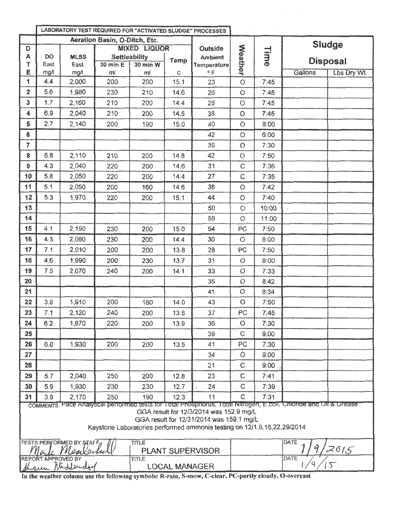|                         |            |                                         |                               |                           |                      | LABORATORY TEST REQUIRED FOR "ACTIVATED SLUDGE" PROCESSES                                                                                                      |                |             |                                                                                                                  |                 |
|-------------------------|------------|-----------------------------------------|-------------------------------|---------------------------|----------------------|----------------------------------------------------------------------------------------------------------------------------------------------------------------|----------------|-------------|------------------------------------------------------------------------------------------------------------------|-----------------|
|                         |            |                                         | Aeration Basin, O-Ditch, Etc. |                           |                      |                                                                                                                                                                |                |             |                                                                                                                  | Sludge          |
| D                       |            |                                         |                               | <b>MIXED LIQUOR</b>       |                      | Outside                                                                                                                                                        |                | <b>Time</b> |                                                                                                                  |                 |
| A<br>Ť                  | DO<br>East | <b>MLSS</b><br>East                     | $30 \text{ min} E$            | Settleability<br>30 min W | <b>Temp</b>          | <b>Ambient</b><br>Temperature                                                                                                                                  |                |             |                                                                                                                  | <b>Disposal</b> |
| E                       | mg/l       | mg/l                                    | ml                            | ml                        | с                    | $^{\circ}$ F                                                                                                                                                   | <b>Weather</b> |             | Gallons                                                                                                          | Lbs Dry Wt.     |
| 1                       | 4.4        | 2,000                                   | 200                           | 200                       | 15.1                 | 23                                                                                                                                                             | $\circ$        | 7:45        |                                                                                                                  |                 |
| $\overline{\mathbf{2}}$ | 5.6        | 1,980                                   | 230                           | 210                       | 14.6                 | 26                                                                                                                                                             | $\circ$        | 7:45        |                                                                                                                  |                 |
| 3                       | 1.7        | 2,160                                   | 210                           | 200                       | 14.4                 | 28                                                                                                                                                             | O              | 7:45        |                                                                                                                  |                 |
| 4                       | 6.9        | 2,040                                   | 210                           | 200                       | 14.5                 | 38                                                                                                                                                             | $\circ$        | 7:45        |                                                                                                                  |                 |
| 5                       | 2.7        | 2,140                                   | 200                           | 190                       | 15.0                 | 40                                                                                                                                                             | O              | 8:00        |                                                                                                                  |                 |
| 6                       |            |                                         |                               |                           |                      | 42                                                                                                                                                             | O              | 6:00        |                                                                                                                  |                 |
| $\overline{7}$          |            |                                         |                               |                           |                      | 39                                                                                                                                                             | $\circ$        | 7:30        |                                                                                                                  |                 |
| 8                       | 6.8        | 2,110                                   | 210                           | 200                       | 14.8                 | 42                                                                                                                                                             | O              | 7:50        |                                                                                                                  |                 |
| 9                       | 4.3        | 2,040                                   | 220                           | 200                       | 14.6                 | 31                                                                                                                                                             | C              | 7:36        |                                                                                                                  |                 |
| 10                      | 5.8        | 2,050                                   | 220                           | 200                       | 14.4                 | 27                                                                                                                                                             | $\ddot{C}$     | 7:35        |                                                                                                                  |                 |
| 11                      | 5.1        | 2,050                                   | 200                           | 160                       | 14.6                 | 38                                                                                                                                                             | O              | 7:42        |                                                                                                                  |                 |
| 12                      | 5.3        | 1,970                                   | 220                           | 200                       | 15.1                 | 44                                                                                                                                                             | $\circ$        | 7:40        |                                                                                                                  |                 |
| 13                      |            |                                         |                               |                           |                      | 50                                                                                                                                                             | $\circ$        | 10:00       |                                                                                                                  |                 |
| 14                      |            |                                         |                               |                           |                      | 59                                                                                                                                                             | $\circ$        | 11:00       |                                                                                                                  |                 |
| 15                      | 4.1        | 2,190                                   | 230                           | 200                       | 15.0                 | 54                                                                                                                                                             | PC             | 7:50        |                                                                                                                  |                 |
| 16                      | 4.3        | 2,080                                   | 230                           | 200                       | 14.4                 | 30                                                                                                                                                             | $\circ$        | 8:00        |                                                                                                                  |                 |
| 17                      | 7.1        | 2,010                                   | 200                           | 200                       | 13.8                 | 28                                                                                                                                                             | PC             | 7:50        |                                                                                                                  |                 |
| 18                      | 4.6        | 1,990                                   | 200                           | 230                       | 13.7                 | 31                                                                                                                                                             | $\mathcal{O}$  | 8:00        |                                                                                                                  |                 |
| 19                      | 7.5        | 2,070                                   | 240                           | 200                       | 14.1                 | 33                                                                                                                                                             | $\circ$        | 7:33        |                                                                                                                  |                 |
| 20                      |            |                                         |                               |                           |                      | 35                                                                                                                                                             | $\circ$        | 8:42        |                                                                                                                  |                 |
| 21                      |            |                                         |                               |                           |                      | 41                                                                                                                                                             | O              | 8:34        |                                                                                                                  |                 |
| 22                      | 3.8        | 1,910                                   | 200                           | 180                       | 14.0                 | 43                                                                                                                                                             | $\circ$        | 7:50        |                                                                                                                  |                 |
| 23                      | 7.1        | 2,120                                   | 240                           | 200                       | 13.8                 | 37                                                                                                                                                             | PC             | 7:45        |                                                                                                                  |                 |
| 24                      | 6.2        | 1,870                                   | 220                           | 200                       | 13.9                 | 36                                                                                                                                                             | O              | 7:30        |                                                                                                                  |                 |
| 25                      |            |                                         |                               |                           |                      | 39                                                                                                                                                             | $\mathbf C$    | 9:00        |                                                                                                                  |                 |
| 26                      | 6.0        | 1,930                                   | 200                           | 200                       | 13.5                 | 41                                                                                                                                                             | PC             | 7:30        |                                                                                                                  |                 |
| 27.                     |            |                                         |                               |                           |                      | 34                                                                                                                                                             | О              | 9:00        |                                                                                                                  |                 |
| 28                      |            |                                         |                               |                           |                      | 21                                                                                                                                                             | $\mathbf C$    | 9:00        |                                                                                                                  |                 |
| 29                      | 5.7        | 2,040                                   | 250                           | 200                       | 12.8                 | 23                                                                                                                                                             | C              | 7:41        |                                                                                                                  |                 |
| 30                      | 5.9        | 1,930                                   | 230                           | 230                       | 12.7                 | 24                                                                                                                                                             | C              | 7:39        |                                                                                                                  |                 |
| 31                      | 3.9        | 2,170                                   | 250                           | 190                       | 12.3                 | 11                                                                                                                                                             | C              | 7:31        | COMMENTS: Pace Analytical performed tests for Total Phosphorus, Total Nitrogen, E.coil, Unionde and Oil & Grease |                 |
|                         |            |                                         |                               |                           |                      | GGA result for 12/3/2014 was 152.9 mg/L<br>GGA result for 12/31/2014 was 159.1 mg/L<br>Keystone Laboratories performed ammonia testing on 12/1,8,16,22,29/2014 |                |             |                                                                                                                  |                 |
|                         |            | TESTS PERFORMED BY STAFF<br>c Mentanted |                               | <b>TITLE</b>              |                      | <b>PLANT SUPERVISOR</b>                                                                                                                                        |                |             | DATE<br>9                                                                                                        | 2015            |
|                         |            | REPORT APPROVED BY                      |                               | TITLE                     | <b>LOCAL MANAGER</b> |                                                                                                                                                                |                |             | DATE<br>9                                                                                                        | $\sqrt{ }$      |

In the weather column use the following symbols: R-rain, S-snow, C-clear, PC-partly cloudy, 0-overcast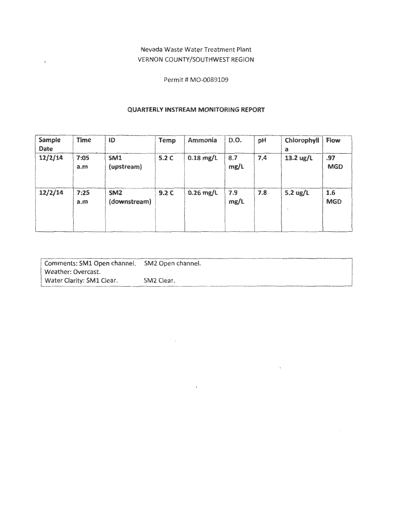#### Nevada Waste Water Treatment Plant VERNON COUNTY/SOUTHWEST REGION

 $\ddot{\phantom{a}}$ 

Permit # M0-0089109

#### QUARTERLY INSTREAM MONITORING REPORT

| Sample<br>Date | Time        | ID                              | Temp | Ammonia     | D.O.        | рH  | Chlorophyll<br>а       | Flow              |
|----------------|-------------|---------------------------------|------|-------------|-------------|-----|------------------------|-------------------|
| 12/2/14        | 7:05<br>a.m | <b>SM1</b><br>(upstream)        | 5.2C | $0.18$ mg/L | 8.7<br>mg/L | 7.4 | 13.2 $\frac{13.2}{15}$ | .97<br><b>MGD</b> |
| 12/2/14        | 7:25<br>a.m | SM <sub>2</sub><br>(downstream) | 9.2C | $0.26$ mg/L | 7.9<br>mg/L | 7.8 | 5.2 $\frac{ug}{L}$     | 1.6<br><b>MGD</b> |

| Comments: SM1 Open channel. | SM2 Open channel.      |
|-----------------------------|------------------------|
| Weather: Overcast.          |                        |
| Water Clarity: SM1 Clear.   | SM <sub>2</sub> Clear. |
|                             |                        |

 $\overline{a}$ 

 $\epsilon$ 

 $\mathcal{L}_{\mathcal{A}}$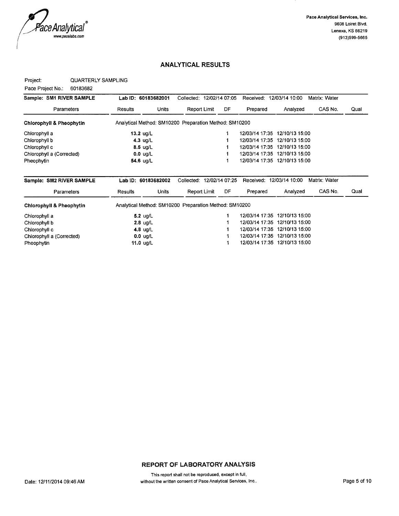

#### Project: QUARTERLY SAMPLING

Pace Project No.: 60183682

| Sample: SM1 RIVER SAMPLE            | Lab ID: 60183682001                                    |              | Collected: 12/02/14 07:05 |              |                | Received:                     | 12/03/14 10:00 | Matrix: Water |      |
|-------------------------------------|--------------------------------------------------------|--------------|---------------------------|--------------|----------------|-------------------------------|----------------|---------------|------|
| Parameters                          | <b>Results</b>                                         | <b>Units</b> |                           | Report Limit | DF             | Prepared                      | Analyzed       | CAS No.       | Qual |
| <b>Chlorophyll &amp; Pheophytin</b> | Analytical Method: SM10200 Preparation Method: SM10200 |              |                           |              |                |                               |                |               |      |
| Chlorophyll a                       | 13.2 $ug/L$                                            |              |                           |              |                | 12/03/14 17:35                | 12/10/13 15:00 |               |      |
| Chlorophyll b                       | 4.3 $\mu$ g/L                                          |              |                           |              |                | 12/03/14 17:35                | 12/10/13 15:00 |               |      |
| Chlorophyll c                       | $8.5 \text{ ug/L}$                                     |              |                           |              |                | 12/03/14 17:35                | 12/10/13 15:00 |               |      |
| Chlorophyll a (Corrected)           | $0.0 \text{ u}g/L$                                     |              |                           |              |                | 12/03/14 17:35 12/10/13 15:00 |                |               |      |
| Pheophytin                          | 54.6 ug/L                                              |              |                           |              |                | 12/03/14 17:35                | 12/10/13 15:00 |               |      |
|                                     |                                                        |              |                           |              |                |                               |                |               |      |
| Sample: SM2 RIVER SAMPLE            | Lab ID: 60183682002                                    |              | Collected:                |              | 12/02/14 07:25 | Received:                     | 12/03/14 10:00 | Matrix: Water |      |
| Parameters                          | Results                                                | Units        |                           | Report Limit | DF             | Prepared                      | Analyzed       | CAS No.       | Qual |
| <b>Chlorophyll &amp; Pheophytin</b> | Analytical Method: SM10200 Preparation Method: SM10200 |              |                           |              |                |                               |                |               |      |
| Chlorophyll a                       | $5.2$ ug/L                                             |              |                           |              |                | 12/03/14 17:35                | 12/10/13 15:00 |               |      |
| Chlorophyll b                       | 2.8 $ug/L$                                             |              |                           |              |                | 12/03/14 17:35                | 12/10/13 15:00 |               |      |
| Chlorophyll c                       | 4.8 $ug/L$                                             |              |                           |              |                | 12/03/14 17:35                | 12/10/13 15:00 |               |      |
| Chlorophyll a (Corrected)           | $0.0 \text{ ug/L}$                                     |              |                           |              |                | 12/03/14 17:35 12/10/13 15:00 |                |               |      |
| Pheophytin                          | 11.0 $ug/L$                                            |              |                           |              |                | 12/03/14 17:35 12/10/13 15:00 |                |               |      |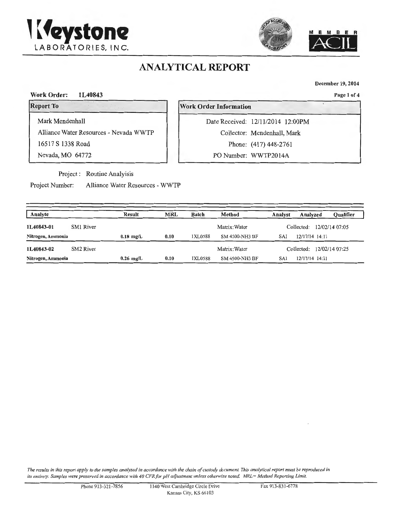



December 19, 2014

Page 1 of 4

Work Order: 1L40843

Report To

Mark Mendenhall

Alliance Water Resources - Nevada WWTP

16517 S 1338 Road

Nevada, MO 64772

Project : Routine Analyisis

Project Number: Alliance Water Resources - WWTP

Work Order Information

Date Received: 12/11/2014 12:00PM Collector: Mendenhall, Mark Phone: (417) 448-2761

PO Number: WWTP2014A

| Analyte           |           | Result      | <b>MRL</b> | Batch                       | Method                      | Analyst               | Analyzed       | <b>Qualifier</b> |
|-------------------|-----------|-------------|------------|-----------------------------|-----------------------------|-----------------------|----------------|------------------|
| 1L40843-01        | SM1 River |             |            | Matrix: Water<br>Collected: |                             | 12/02/14 07:05        |                |                  |
| Nitrogen, Ammonia |           | $0.18$ mg/L | 0.10       | 1XL0588                     | <b>SM 4500-NH3 BF</b>       | 12/17/14 14:11<br>SAI |                |                  |
| 1L40843-02        | SM2 River |             |            |                             | Collected:<br>Matrix: Water |                       |                | 12/02/14 07:25   |
| Nitrogen, Ammonia |           | $0.26$ mg/L | 0.10       | 1XL0588                     | SM 4500-NH3 BF              | SAI                   | 12/17/14 14:11 |                  |

*The results in this report apply to the samples analyzed in accordance with the chain of custody document. This analytical report must be reproduced in its entirety. Samples were preserved in accordance with 40 CFRfor pH adjustment unless otherwise noted. MRL= Method Reporting limit.*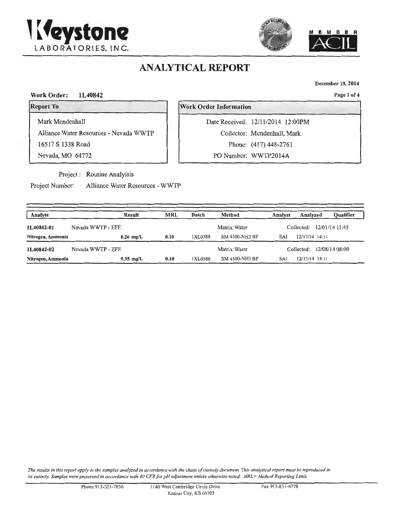



December 19, 2014

Page 1 of 4

#### Work Order: 1L40842

Report To

Mark Mendenhall

Alliance Water Resources - Nevada WWTP

.

16517 S 1338 Road

Nevada, MO 64772

Project : Routine Analyisis

Project Number: Alliance Water Resources - WWTP

#### Work Order Information

Date Received: 12/11/2014 12:00PM Collector: Mendenhall, Mark Phone: (417) 448-2761

PO Number: WWTP2014A

| Analyte           | Result             | <b>MRL</b> | Batch   | Method                | Analyst | Qualifier<br>Analyzed        |
|-------------------|--------------------|------------|---------|-----------------------|---------|------------------------------|
| 1L40842-01        | Nevada WWTP - EFF. |            |         | Matrix: Water         |         | 12/01/14 11:45<br>Collected: |
| Nitrogen, Ammonia | $0.26$ mg/L        | 0.10       | 1XL0588 | SM 4500-NH3 BF        |         | 12/17/14 14:11               |
| 1L40842-02        | Nevada WWTP - EFF. |            |         | Matrix: Water         |         | 12/08/14 08:00<br>Collected: |
| Nitrogen, Ammonia | $0.35$ mg/L        | 0.10       | 1XL0588 | <b>SM 4500-NH3 BF</b> | SAI     | 12/17/14 14:11               |

*The resulrs in this report apply to the samples analyzed in accordance with the chain of custody document This analytical report must be reproduced in*  its entirety. Samples were preserved in accordance with 40 CFR for pH adjustment unless otherwise noted. MRL= Method Reporting Limit.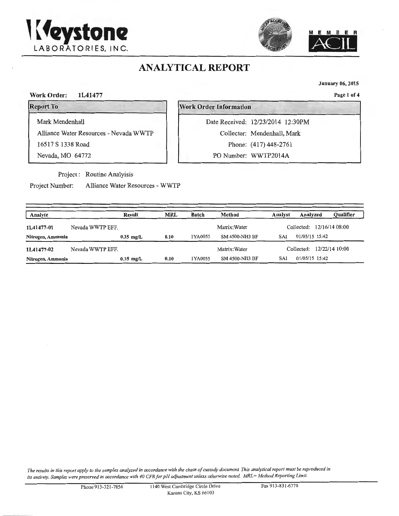



January 06, 2015

Work Order: 1L41477 Page 1 of 4

' . Report To Work Order Information

Alliance Water Resources - Nevada WWTP

16517 S 1338 Road

Mark Mendenhall

Nevada, MO 64772

Project : Routine Analyisis

Project Number: Alliance Water Resources - WWTP

Date Received: 12/23/2014 12:30PM Collector: Mendenhall, Mark Phone: (417) 448-2761

PO Number: WWTP2014A

| Analyte           |                                                                | <b>Result</b> | <b>MRL</b>       | Batch   | Method                | <b>Qualifier</b><br>Analyst<br>Analyzed |
|-------------------|----------------------------------------------------------------|---------------|------------------|---------|-----------------------|-----------------------------------------|
| 1L41477-01        | Nevada WWTP EFF.                                               |               |                  |         | Matrix: Water         | Collected: 12/16/14 08:00               |
| Nitrogen, Ammonia |                                                                | $0.35$ mg/L   | 0.10             | 1YA0055 | <b>SM 4500-NH3 BF</b> | 01/05/15 15:42<br>SAI                   |
| 1L41477-02        | Nevada WWTP EFF.                                               |               |                  |         | Matrix: Water         | Collected: 12/22/14 10:00               |
| Nitrogen, Ammonia | SAI<br><b>SM 4500-NH3 BF</b><br>1YA0055<br>0.10<br>$0.35$ mg/L |               | $01/05/15$ 15:42 |         |                       |                                         |

*The results in this report apply to the samples analyzed in accordance with the chain of custody document This analytical report must be reproduced in its entirety. Samples were preserved in accordance with 40 CFRfor pH adjustment unless otherwise noted. MRL= Method Reporting Limit.* 



.. '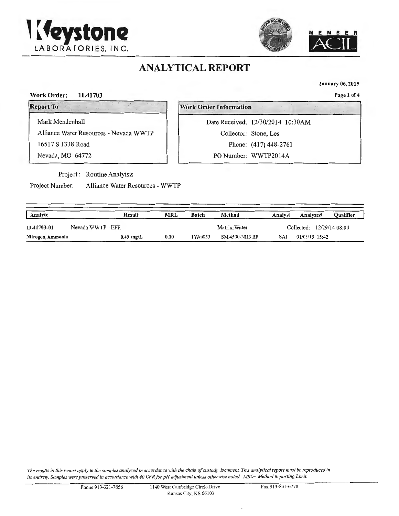



Analyte Result MRL Batch Method Analyst Analyzed

Nitrogen, Ammonia 0.49 mg/L 0.10 IYA0055 SM 4500-NH3 BF SAI 01/05/15 15:42

1L41703-01 Nevada WWTP - EFF. Matrix: Water Collected: 12/29/14 08:00

January 06, 2015

Page 1 of 4

Qualifier

#### Report To

**Work Order Information** 

Mark Mendenhall

Work Order: 1L41703

Alliance Water Resources - Nevada WWTP

16517 S 1338 Road

Nevada, MO 64772

Project : Routine Analyisis

Project Number: Alliance Water Resources - WWTP

| Date Received: 12/30/2014 10:30AM |
|-----------------------------------|
| Collector: Stone, Les             |
| Phone: (417) 448-2761             |
|                                   |

PO Number: WWTP2014A

| The results in this report apply to the samples analyzed in accordance with the chain of custody document. This analytical report must be reproduced in |
|---------------------------------------------------------------------------------------------------------------------------------------------------------|
| its entirety. Samples were preserved in accordance with 40 CFR for pH adjustment unless otherwise noted. MRL= Method Reporting Limit.                   |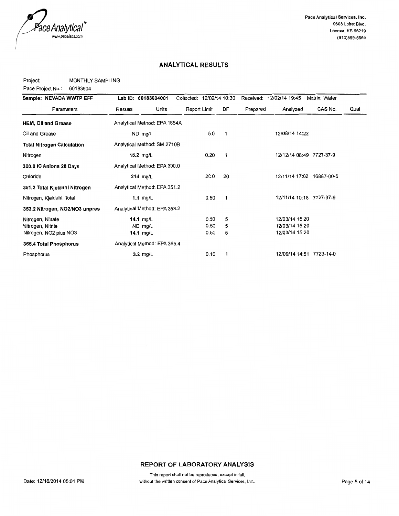

Project: MONTHLY SAMPLING

Pace Project No.: 60183604

| Sample: NEVADA WWTP EFF        | Lab ID: 60183604001          | Collected: 12/02/14 10:30 |            |          | Received: 12/02/14 19:45  | Matrix: Water |      |
|--------------------------------|------------------------------|---------------------------|------------|----------|---------------------------|---------------|------|
| Parameters                     | Results<br>Units             | Report Limit              | DF         | Prepared | Analyzed                  | CAS No.       | Qual |
| <b>HEM, Oil and Grease</b>     | Analytical Method: EPA 1664A |                           |            |          |                           |               |      |
| Oil and Grease                 | ND mg/L                      |                           | 5.0<br>1   |          | 12/08/14 14:22            |               |      |
| Total Nitrogen Calculation     | Analytical Method: SM 2710B  |                           |            |          |                           |               |      |
| Nitrogen                       | 15.2 $mg/L$                  |                           | 0.20<br>1  |          | 12/12/14 08:49 7727-37-9  |               |      |
| 300.0 IC Anions 28 Days        | Analytical Method: EPA 300.0 |                           |            |          |                           |               |      |
| Chloride                       | 214 mg/L                     |                           | 20.0<br>20 |          | 12/11/14 17:02 16887-00-6 |               |      |
| 351.2 Total Kjeldahl Nitrogen  | Analytical Method: EPA 351.2 |                           |            |          |                           |               |      |
| Nitrogen, Kjeldahl, Total      | 1.1 $mg/L$                   |                           | 0.50<br>1  |          | 12/11/14 10:18 7727-37-9  |               |      |
| 353.2 Nitrogen, NO2/NO3 unpres | Analytical Method: EPA 353.2 |                           |            |          |                           |               |      |
| Nitrogen, Nitrate              | 14.1 $mg/L$                  |                           | 5<br>0.50  |          | 12/03/14 15:20            |               |      |
| Nitrogen, Nitrite              | ND mg/L                      |                           | 5<br>0.50  |          | 12/03/14 15:20            |               |      |
| Nitrogen, NO2 plus NO3         | 14.1 mg/L                    |                           | 5<br>0.50  |          | 12/03/14 15:20            |               |      |
| 365.4 Total Phosphorus         | Analytical Method: EPA 365.4 |                           |            |          |                           |               |      |
| Phosphorus                     | $3.2 \text{ mg/L}$           |                           | 0.10<br>1  |          | 12/09/14 14:51 7723-14-0  |               |      |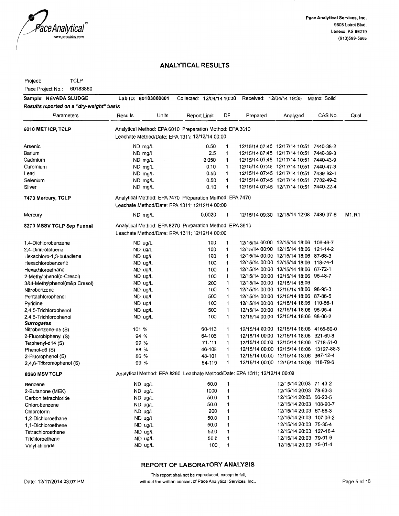

Project: TCLP

Pace Project No.: 60183880

| Sample: NEVADA SLUDGE                    | Lab ID: 60183880001                                      |       | Collected: 12/04/14 10:30 |              |              | Received: 12/04/14 19:35                                                   |                                          | Matrix: Solid |       |
|------------------------------------------|----------------------------------------------------------|-------|---------------------------|--------------|--------------|----------------------------------------------------------------------------|------------------------------------------|---------------|-------|
| Results reported on a "dry-weight" basis |                                                          |       |                           |              |              |                                                                            |                                          |               |       |
| Parameters                               | Results                                                  | Units |                           | Report Limit | DF           | Prepared                                                                   | Analyzed                                 | CAS No.       | Qual  |
| 6010 MET ICP, TCLP                       | Analytical Method: EPA 6010 Preparation Method: EPA 3010 |       |                           |              |              |                                                                            |                                          |               |       |
|                                          | Leachate Method/Date: EPA 1311; 12/12/14 00:00           |       |                           |              |              |                                                                            |                                          |               |       |
| Arsenic                                  | ND mg/L                                                  |       |                           | 0.50         | 1            |                                                                            | 12/15/14 07:45 12/17/14 10:51 7440-38-2  |               |       |
| Barium                                   | ND mg/L                                                  |       |                           | 2.5          | 1            |                                                                            | 12/15/14 07:45 12/17/14 10:51 7440-39-3  |               |       |
| Cadmium                                  | ND mg/L                                                  |       |                           | 0.050        | 1            |                                                                            | 12/15/14 07:45 12/17/14 10:51 7440-43-9  |               |       |
| Chromium                                 | $ND$ mg/L                                                |       |                           | 0.10         | 1            |                                                                            | 12/15/14 07:45 12/17/14 10:51 7440-47-3  |               |       |
| Lead                                     | ND mg/L                                                  |       |                           | 0.50         | 1            |                                                                            | 12/15/14 07:45 12/17/14 10:51 7439-92-1  |               |       |
| Selenium                                 | ND mg/L                                                  |       |                           | 0.50         | 1            |                                                                            | 12/15/14 07:45 12/17/14 10:51 7782-49-2  |               |       |
| Silver                                   | ND mg/L                                                  |       |                           | 0.10         | 1            |                                                                            | 12/15/14 07:45 12/17/14 10:51 7440-22-4  |               |       |
| 7470 Mercury, TCLP                       | Analytical Method: EPA 7470 Preparation Method: EPA 7470 |       |                           |              |              |                                                                            |                                          |               |       |
|                                          | Leachate Method/Date: EPA 1311; 12/12/14 00:00           |       |                           |              |              |                                                                            |                                          |               |       |
| Mercury                                  | $ND$ mg/L                                                |       |                           | 0.0020       | 1            |                                                                            | 12/15/14 09:30 12/15/14 12:08 7439-97-6  |               | M1,R1 |
| 8270 MSSV TCLP Sep Funnel                | Analytical Method: EPA 8270 Preparation Method: EPA 3510 |       |                           |              |              |                                                                            |                                          |               |       |
|                                          | Leachate Method/Date: EPA 1311; 12/12/14 00:00           |       |                           |              |              |                                                                            |                                          |               |       |
| 1,4-Dichlorobenzene                      | ND ug/L                                                  |       |                           | 100          | 1            |                                                                            | 12/15/14 00:00 12/15/14 18:06 106-46-7   |               |       |
| 2,4-Dinitrotoluene                       | ND ug/L                                                  |       |                           | 100          | 1            |                                                                            | 12/15/14 00:00 12/15/14 18:06 121-14-2   |               |       |
| Hexachloro-1,3-butadiene                 | ND ug/L                                                  |       |                           | 100          | 1            |                                                                            | 12/15/14 00:00 12/15/14 18:06 87-68-3    |               |       |
| Hexachlorobenzene                        | ND ug/L                                                  |       |                           | 100          | 1            |                                                                            | 12/15/14 00:00 12/15/14 18:06 118-74-1   |               |       |
| Hexachloroethane                         | ND ug/L                                                  |       |                           | 100          | 1            |                                                                            | 12/15/14 00:00 12/15/14 18:06 67-72-1    |               |       |
| 2-Methylphenol(o-Cresol)                 | ND ug/L                                                  |       |                           | 100          | 1            |                                                                            | 12/15/14 00:00 12/15/14 18:06 95-48-7    |               |       |
| 3&4-Methylphenol(m&p Cresol)             | ND ug/L                                                  |       |                           | 200          | 1            |                                                                            | 12/15/14 00:00 12/15/14 18:06            |               |       |
| Nitrobenzene                             | $ND$ ug/L                                                |       |                           | 100          | 1            |                                                                            | 12/15/14 00:00 12/15/14 18:06 98-95-3    |               |       |
| Pentachlorophenol                        | ND ug/L                                                  |       |                           | 500          | 1            |                                                                            | 12/15/14 00:00 12/15/14 18:06 87-86-5    |               |       |
| Pyridine                                 | ND ug/L                                                  |       |                           | 100          | 1            |                                                                            | 12/15/14 00:00 12/15/14 18:06 110-86-1   |               |       |
| 2,4,5-Trichlorophenol                    | ND ug/L                                                  |       |                           | 500          | 1            |                                                                            | 12/15/14 00:00 12/15/14 18:06 95-95-4    |               |       |
| 2,4,6-Trichlorophenol                    | ND ug/L                                                  |       |                           | 100          | 1            |                                                                            | 12/15/14 00:00 12/15/14 18:06 88-06-2    |               |       |
| <b>Surrogates</b>                        |                                                          |       |                           |              |              |                                                                            |                                          |               |       |
| Nitrobenzene-d5 (S)                      | 101 %                                                    |       |                           | 60-113       | 1            |                                                                            | 12/15/14 00:00 12/15/14 18:06 4165-60-0  |               |       |
| 2-Fluorobiphenyl (S)                     | 94 %                                                     |       |                           | 64-106       | 1            |                                                                            | 12/15/14 00:00 12/15/14 18:06 321-60-8   |               |       |
| Terphenyl-d14 (S)                        | 99 %                                                     |       |                           | 71-111       | 1            |                                                                            | 12/15/14 00:00 12/15/14 18:06 1718-51-0  |               |       |
| Phenol-d6 (S)                            | 88 %                                                     |       |                           | 46-108       | 1            |                                                                            | 12/15/14 00:00 12/15/14 18:06 13127-88-3 |               |       |
| 2-Fluorophenol (S)                       | 86 %                                                     |       |                           | 48-101       | $\mathbf{1}$ |                                                                            | 12/15/14 00:00 12/15/14 18:06 367-12-4   |               |       |
| 2,4,6-Tribromophenol (S)                 | 99 %                                                     |       |                           | 54-119       | 1            |                                                                            | 12/15/14 00:00 12/15/14 18:06 118-79-6   |               |       |
| 8260 MSV TCLP                            |                                                          |       |                           |              |              | Analytical Method: EPA 8260 Leachate Method/Date: EPA 1311; 12/12/14 00:00 |                                          |               |       |
| Benzene                                  | ND ug/L                                                  |       |                           | 50.0         | 1            |                                                                            | 12/15/14 20:03 71-43-2                   |               |       |
| 2-Butanone (MEK)                         | ND ug/L                                                  |       |                           | 1000         | 1            |                                                                            | 12/15/14 20:03 78-93-3                   |               |       |
| Carbon tetrachloride                     | ND ug/L                                                  |       |                           | 50.0         | 1            |                                                                            | 12/15/14 20:03 56-23-5                   |               |       |
| Chlorobenzene                            | ND ug/L                                                  |       |                           | 50.0         | 1            |                                                                            | 12/15/14 20:03 108-90-7                  |               |       |
| Chloroform                               | ND ug/L                                                  |       |                           | 200          | 1            |                                                                            | 12/15/14 20:03 67-66-3                   |               |       |
| 1,2-Dichloroethane                       | ND ug/L                                                  |       |                           | 50.0         | 1            |                                                                            | 12/15/14 20:03 107-06-2                  |               |       |
| 1,1-Dichloroethene                       | ND ug/L                                                  |       |                           | 50.0         | 1            |                                                                            | 12/15/14 20:03 75-35-4                   |               |       |
| Tetrachloroethene                        | ND ug/L                                                  |       |                           | 50.0         | 1            |                                                                            | 12/15/14 20:03 127-18-4                  |               |       |
| Trichloroethene                          | ND ug/L                                                  |       |                           | 50.0         | 1            |                                                                            | 12/15/14 20:03 79-01-6                   |               |       |
| Vinyl chloride                           | ND ug/L                                                  |       |                           | 100          | 1            |                                                                            | 12/15/14 20:03 75-01-4                   |               |       |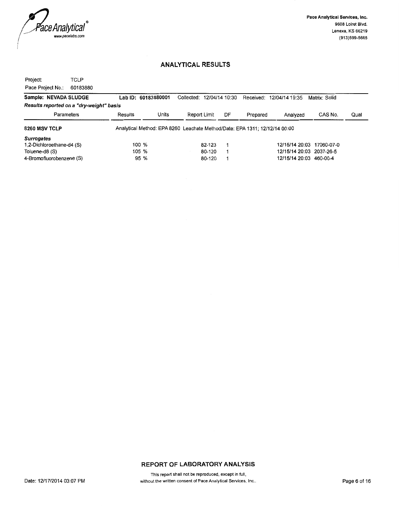

Project: TCLP Pace Project No.: 60183880

| Sample: NEVADA SLUDGE                    | Lab ID: 60183880001 |       | Collected: 12/04/14 10:30                                                  |    | Received: | 12/04/14 19:35            | Matrix: Solid |      |
|------------------------------------------|---------------------|-------|----------------------------------------------------------------------------|----|-----------|---------------------------|---------------|------|
| Results reported on a "dry-weight" basis |                     |       |                                                                            |    |           |                           |               |      |
| Parameters                               | Results             | Units | Report Limit                                                               | DF | Prepared  | Analyzed                  | CAS No.       | Qual |
| 8260 MSV TCLP                            |                     |       | Analytical Method: EPA 8260 Leachate Method/Date: EPA 1311; 12/12/14 00:00 |    |           |                           |               |      |
| <b>Surrogates</b>                        |                     |       |                                                                            |    |           |                           |               |      |
| 1,2-Dichloroethane-d4 (S)                | 100 %               |       | 82-123                                                                     |    |           | 12/15/14 20:03 17060-07-0 |               |      |
| Toluene-d8 (S)                           | 105 %               |       | 80-120                                                                     |    |           | 12/15/14 20:03 2037-26-5  |               |      |
| 4-Bromofluorobenzene (S)                 | 95 %                |       | 80-120                                                                     |    |           | 12/15/14 20:03 460-00-4   |               |      |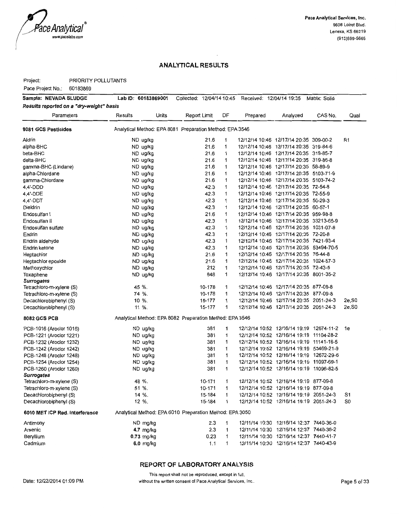

Project: PRIORITY POLLUTANTS

Pace Project No.: 60183869

| Sample: NEVADA SLUDGE                    | Lab ID: 60183869001 | Collected: 12/04/14 10:45                                |              |    | Received: 12/04/14 19:35 |                                          | Matrix: Solid |                    |
|------------------------------------------|---------------------|----------------------------------------------------------|--------------|----|--------------------------|------------------------------------------|---------------|--------------------|
| Results reported on a "dry-weight" basis |                     |                                                          |              |    |                          |                                          |               |                    |
| Parameters                               | Results             | Units                                                    | Report Limit | DF | Prepared                 | Analyzed                                 | CAS No.       | Qual               |
| 8081 GCS Pesticides                      |                     | Analytical Method: EPA 8081 Preparation Method: EPA 3546 |              |    |                          |                                          |               |                    |
| Aldrin                                   | ND ug/kg            |                                                          | 21.6         | 1  |                          | 12/12/14 10:46 12/17/14 20:35 309-00-2   |               | R1                 |
| alpha-BHC                                | ND ug/kg            |                                                          | 21.6         | 1  |                          | 12/12/14 10:46 12/17/14 20:35 319-84-6   |               |                    |
| beta-BHC                                 | ND ug/kg            |                                                          | 21.6         | 1  |                          | 12/12/14 10:46 12/17/14 20:35 319-85-7   |               |                    |
| delta-BHC                                | ND ug/kg            |                                                          | 21.6         | 1  |                          | 12/12/14 10:46 12/17/14 20:35 319-86-8   |               |                    |
| gamma-BHC (Lindane)                      | ND ug/kg            |                                                          | 21.6         | 1  |                          | 12/12/14 10:46 12/17/14 20:35 58-89-9    |               |                    |
| alpha-Chlordane                          | ND ug/kg            |                                                          | 216          | 1  |                          | 12/12/14 10:46 12/17/14 20:35 5103-71-9  |               |                    |
| gamma-Chlordane                          | ND ug/kg            |                                                          | 21.6         | 1  |                          | 12/12/14 10:46 12/17/14 20:35 5103-74-2  |               |                    |
| 4,4'-DDD                                 | ND ug/kg            |                                                          | 42.3         | 1  |                          | 12/12/14 10:46 12/17/14 20:35 72-54-8    |               |                    |
| 4,4'-DDE                                 | ND ug/kg            |                                                          | 42.3         | 1  |                          | 12/12/14 10:46 12/17/14 20:35 72-55-9    |               |                    |
| 4,4'-DDT                                 | ND ug/kg            |                                                          | 42.3         | 1  |                          | 12/12/14 10:46 12/17/14 20:35 50-29-3    |               |                    |
| Dieldrin                                 | ND ug/kg            |                                                          | 42.3         | 1  |                          | 12/12/14 10:46 12/17/14 20:35 60-57-1    |               |                    |
| Endosulfan I                             | ND ug/kg            |                                                          | 21.6         | 1  |                          | 12/12/14 10:46 12/17/14 20:35 959-98-8   |               |                    |
| Endosulfan II                            | ND ug/kg            |                                                          | 42.3         | 1  |                          | 12/12/14 10:46 12/17/14 20:35 33213-65-9 |               |                    |
| Endosulfan sulfate                       | ND ug/kg            |                                                          | 42.3         | 1  |                          | 12/12/14 10:46 12/17/14 20:35 1031-07-8  |               |                    |
| Endrin                                   | ND ug/kg            |                                                          | 42.3         | 1  |                          | 12/12/14 10:46 12/17/14 20:35 72-20-8    |               |                    |
| Endrin aldehyde                          | ND ug/kg            |                                                          | 42.3         | 1  |                          | 12/12/14 10:46 12/17/14 20:35 7421-93-4  |               |                    |
| Endrin ketone                            | ND ug/kg            |                                                          | 42.3         | 1  |                          | 12/12/14 10:46 12/17/14 20:35 53494-70-5 |               |                    |
| Heptachlor                               | ND ug/kg            |                                                          | 21.6         | 1  |                          | 12/12/14 10:46 12/17/14 20:35 76-44-8    |               |                    |
| Heptachlor epoxide                       | ND ug/kg            |                                                          | 21.6         | 1  |                          | 12/12/14 10:46 12/17/14 20:35 1024-57-3  |               |                    |
| Methoxychlor                             | ND ug/kg            |                                                          | 212          | 1  |                          | 12/12/14 10:46 12/17/14 20:35 72-43-5    |               |                    |
| Toxaphene                                | ND ug/kg            |                                                          | 848          | 1  |                          | 12/12/14 10:46 12/17/14 20:35 8001-35-2  |               |                    |
| <b>Surrogates</b>                        |                     |                                                          |              |    |                          |                                          |               |                    |
| Tetrachloro-m-xylene (S)                 | 45 %.               |                                                          | 10-178       | 1  |                          | 12/12/14 10:46 12/17/14 20:35 877-09-8   |               |                    |
| Tetrachloro-m-xylene (S)                 | 74 %.               |                                                          | 10-178       | 1  |                          | 12/12/14 10:46 12/17/14 20:35 877-09-8   |               |                    |
| Decachlorobiphenyl (S)                   | 10 %.               |                                                          | 15-177       | 1  |                          | 12/12/14 10:46 12/17/14 20:35 2051-24-3  |               | 2e, S0             |
| Decachlorobiphenyl (S)                   | 11 %.               |                                                          | 15-177       | 1  |                          | 12/12/14 10:46 12/17/14 20:35 2051-24-3  |               | 2e, S <sub>0</sub> |
| 8082 GCS PCB                             |                     | Analytical Method: EPA 8082 Preparation Method: EPA 3546 |              |    |                          |                                          |               |                    |
| PCB-1016 (Aroclor 1016)                  | ND ug/kg            |                                                          | 381          | 1  |                          | 12/12/14 10:52 12/16/14 19:19 12674-11-2 |               | 1e                 |
| PCB-1221 (Aroclor 1221)                  | ND ug/kg            |                                                          | 381          | 1  |                          | 12/12/14 10:52 12/16/14 19:19 11104-28-2 |               |                    |
| PCB-1232 (Aroclor 1232)                  | ND ug/kg            |                                                          | 381          | 1  |                          | 12/12/14 10:52 12/16/14 19:19 11141-16-5 |               |                    |
| PCB-1242 (Aroclor 1242)                  | ND ug/kg            |                                                          | 381          | 1  |                          | 12/12/14 10:52 12/16/14 19:19 53469-21-9 |               |                    |
| PCB-1248 (Aroclor 1248)                  | ND ug/kg            |                                                          | 381          | 1  |                          | 12/12/14 10:52 12/16/14 19:19 12672-29-6 |               |                    |
| PCB-1254 (Aroclor 1254)                  | ND ug/kg            |                                                          | 381          | 1  |                          | 12/12/14 10:52 12/16/14 19:19 11097-69-1 |               |                    |
| PCB-1260 (Aroclor 1260)                  | ND ug/kg            |                                                          | 381          | 1  |                          | 12/12/14 10:52 12/16/14 19:19 11096-82-5 |               |                    |
| <b>Surrogates</b>                        |                     |                                                          |              |    |                          |                                          |               |                    |
| Tetrachloro-m-xylene (S)                 | 48 %.               |                                                          | 10-171       | 1  |                          | 12/12/14 10:52 12/16/14 19:19 877-09-8   |               |                    |
| Tetrachloro-m-xylene (S)                 | 51 %.               |                                                          | 10-171       | 1  |                          | 12/12/14 10:52 12/16/14 19:19 877-09-8   |               |                    |
| Decachlorobiphenyl (S)                   | 14 %.               |                                                          | 15-184       | 1  |                          | 12/12/14 10:52 12/16/14 19:19 2051-24-3  |               | S1                 |
| Decachlorobiphenyl (S)                   | 12 %.               |                                                          | 15-184       | 1  |                          | 12/12/14 10:52 12/16/14 19:19 2051-24-3  |               | S0                 |
| 6010 MET ICP Red. Interference           |                     | Analytical Method: EPA 6010 Preparation Method: EPA 3050 |              |    |                          |                                          |               |                    |
| Antimony                                 | ND mg/kg            |                                                          | 2.3          | 1  |                          | 12/11/14 10:30 12/16/14 12:37 7440-36-0  |               |                    |
| Arsenic                                  | 4.7 mg/kg           |                                                          | 2.3          | 1  |                          | 12/11/14 10:30 12/16/14 12:37 7440-38-2  |               |                    |
| Beryllium                                | $0.73$ mg/kg        |                                                          | 0.23         | 1  |                          | 12/11/14 10:30 12/16/14 12:37 7440-41-7  |               |                    |
| Cadmium                                  | 6.0 mg/kg           |                                                          | 1.1          | 1  |                          | 12/11/14 10:30 12/16/14 12:37 7440-43-9  |               |                    |

#### **REPORT OF LABORATORY ANALYSIS**

This report shall not be reproduced, except in full,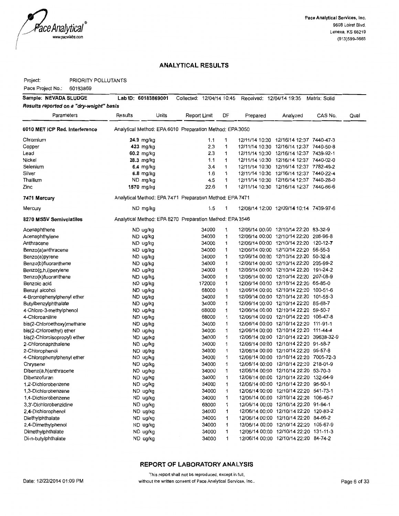

Project: PRIORITY POLLUTANTS

Pace Project No.: 60183869

| Sample: NEVADA SLUDGE                    | Lab ID: 60183869001                                      |       | Collected: 12/04/14 10:45 |        |    | Received: 12/04/14 19:35 |                                          | Matrix: Solid |      |
|------------------------------------------|----------------------------------------------------------|-------|---------------------------|--------|----|--------------------------|------------------------------------------|---------------|------|
| Results reported on a "dry-weight" basis |                                                          |       |                           |        |    |                          |                                          |               |      |
| Parameters                               | Results                                                  | Units | Report Limit              |        | DF | Prepared                 | Analyzed                                 | CAS No.       | Qual |
| 6010 MET ICP Red. Interference           | Analytical Method: EPA 6010 Preparation Method: EPA 3050 |       |                           |        |    |                          |                                          |               |      |
| Chromium                                 | 24.9 mg/kg                                               |       |                           | 1.1    | 1  |                          | 12/11/14 10:30 12/16/14 12:37 7440-47-3  |               |      |
| Copper                                   | 423 mg/kg                                                |       |                           | 2.3    | 1  |                          | 12/11/14 10:30 12/16/14 12:37 7440-50-8  |               |      |
| Lead                                     | 60.2 mg/kg                                               |       |                           | 2.3    | 1  |                          | 12/11/14 10:30 12/16/14 12:37 7439-92-1  |               |      |
| Nickel                                   | 28.3 mg/kg                                               |       |                           | 1.1    | 1  |                          | 12/11/14 10:30 12/16/14 12:37 7440-02-0  |               |      |
| Selenium                                 | 6.4 mg/kg                                                |       |                           | 3.4    | 1  |                          | 12/11/14 10:30 12/16/14 12:37 7782-49-2  |               |      |
| Silver                                   | 6.8 mg/kg                                                |       |                           | 1.6    | 1  |                          | 12/11/14 10:30 12/16/14 12:37 7440-22-4  |               |      |
| Thallium                                 | ND mg/kg                                                 |       |                           | 4.5    | 1  |                          | 12/11/14 10:30 12/16/14 12:37 7440-28-0  |               |      |
| Zinc                                     | 1570 mg/kg                                               |       |                           | 22.6   | 1  |                          | 12/11/14 10:30 12/16/14 12:37 7440-66-6  |               |      |
| 7471 Mercury                             | Analytical Method: EPA 7471 Preparation Method: EPA 7471 |       |                           |        |    |                          |                                          |               |      |
| Mercury                                  | ND mg/kg                                                 |       |                           | 1.5    | 1  |                          | 12/08/14 12:00 12/09/14 10:14 7439-97-6  |               |      |
| 8270 MSSV Semivolatiles                  | Analytical Method: EPA 8270 Preparation Method: EPA 3546 |       |                           |        |    |                          |                                          |               |      |
| Acenaphthene                             | ND ug/kg                                                 |       |                           | 34000  | 1  |                          | 12/06/14 00:00 12/10/14 22:20 83-32-9    |               |      |
| Acenaphthylene                           | ND ug/kg                                                 |       |                           | 34000  | 1  |                          | 12/06/14 00:00 12/10/14 22:20 208-96-8   |               |      |
| Anthracene                               | ND ug/kg                                                 |       |                           | 34000  | 1  |                          | 12/06/14 00:00 12/10/14 22:20 120-12-7   |               |      |
| Benzo(a)anthracene                       | ND ug/kg                                                 |       |                           | 34000  | 1  |                          | 12/06/14 00:00 12/10/14 22:20 56-55-3    |               |      |
| Benzo(a)pyrene                           | ND ug/kg                                                 |       |                           | 34000  | 1  |                          | 12/06/14 00:00 12/10/14 22:20 50-32-8    |               |      |
| Benzo(b)fluoranthene                     | ND ug/kg                                                 |       |                           | 34000  | 1  |                          | 12/06/14 00:00 12/10/14 22:20 205-99-2   |               |      |
| Benzo(g,h,i)perylene                     | ND ug/kg                                                 |       |                           | 34000  | 1  |                          | 12/06/14 00:00 12/10/14 22:20 191-24-2   |               |      |
| Benzo(k)fluoranthene                     | ND ug/kg                                                 |       |                           | 34000  | 1  |                          | 12/06/14 00:00 12/10/14 22:20 207-08-9   |               |      |
| Benzoic acid                             | ND ug/kg                                                 |       |                           | 172000 | 1  |                          | 12/06/14 00:00 12/10/14 22:20 65-85-0    |               |      |
| Benzyl alcohol                           | ND ug/kg                                                 |       |                           | 68000  | 1  |                          | 12/06/14 00:00 12/10/14 22:20 100-51-6   |               |      |
| 4-Bromophenylphenyl ether                | ND ug/kg                                                 |       |                           | 34000  | 1  |                          | 12/06/14 00:00 12/10/14 22:20 101-55-3   |               |      |
| Butylbenzylphthalate                     | ND ug/kg                                                 |       |                           | 34000  | 1  |                          | 12/06/14 00:00 12/10/14 22:20 85-68-7    |               |      |
| 4-Chloro-3-methylphenol                  | ND ug/kg                                                 |       |                           | 68000  | 1  |                          | 12/06/14 00:00 12/10/14 22:20 59-50-7    |               |      |
| 4-Chloroaniline                          | ND ug/kg                                                 |       |                           | 68000  | 1  |                          | 12/06/14 00:00 12/10/14 22:20 106-47-8   |               |      |
| bis(2-Chloroethoxy)methane               | ND ug/kg                                                 |       |                           | 34000  | 1  |                          | 12/06/14 00:00 12/10/14 22:20 111-91-1   |               |      |
| bis(2-Chloroethyl) ether                 | ND ug/kg                                                 |       |                           | 34000  | 1  |                          | 12/06/14 00:00 12/10/14 22:20 111-44-4   |               |      |
| bis(2-Chloroisopropyl) ether             | ND ug/kg                                                 |       |                           | 34000  | 1  |                          | 12/06/14 00:00 12/10/14 22:20 39638-32-9 |               |      |
| 2-Chloronaphthalene                      | ND ug/kg                                                 |       |                           | 34000  | 1  |                          | 12/06/14 00:00 12/10/14 22:20 91-58-7    |               |      |
| 2-Chlorophenol                           | ND ug/kg                                                 |       |                           | 34000  | 1  |                          | 12/06/14 00:00 12/10/14 22:20 95-57-8    |               |      |
| 4-Chlorophenylphenyl ether               | ND ug/kg                                                 |       |                           | 34000  | 1  |                          | 12/06/14 00:00 12/10/14 22:20 7005-72-3  |               |      |
| Chrysene                                 | ND ug/kg                                                 |       |                           | 34000  | 1  |                          | 12/06/14 00:00 12/10/14 22:20 218-01-9   |               |      |
| Dibenz(a,h)anthracene                    | ND ug/kg                                                 |       |                           | 34000  | 1  |                          | 12/06/14 00:00 12/10/14 22:20 53-70-3    |               |      |
| Dibenzofuran                             | ND ug/kg                                                 |       |                           | 34000  | 1  |                          | 12/06/14 00:00 12/10/14 22:20 132-64-9   |               |      |
| 1,2-Dichlorobenzene                      | ND ug/kg                                                 |       |                           | 34000  | 1  |                          | 12/06/14 00:00 12/10/14 22:20 95-50-1    |               |      |
| 1,3-Dichlorobenzene                      | ND ug/kg                                                 |       |                           | 34000  | 1  |                          | 12/06/14 00:00 12/10/14 22:20 541-73-1   |               |      |
| 1.4-Dichlorobenzene                      | ND ug/kg                                                 |       |                           | 34000  | 1  |                          | 12/06/14 00:00 12/10/14 22:20 106-46-7   |               |      |
| 3.3'-Dichlorobenzidine                   | ND ug/kg                                                 |       |                           | 68000  | 1  |                          | 12/06/14 00:00 12/10/14 22:20 91-94-1    |               |      |
| 2,4-Dichlorophenol                       | ND ug/kg                                                 |       |                           | 34000  | 1  |                          | 12/06/14 00:00 12/10/14 22:20 120-83-2   |               |      |
| Diethylphthalate                         | ND ug/kg                                                 |       |                           | 34000  | 1  |                          | 12/06/14 00:00 12/10/14 22:20 84-66-2    |               |      |
| 2,4-Dimethylphenol                       | ND ug/kg                                                 |       |                           | 34000  | 1  |                          | 12/06/14 00:00 12/10/14 22:20 105-67-9   |               |      |
| Dimethylphthalate                        | ND ug/kg                                                 |       |                           | 34000  | 1  |                          | 12/06/14 00:00 12/10/14 22:20 131-11-3   |               |      |
| Di-n-butylphthalate                      | ND ug/kg                                                 |       |                           | 34000  | 1  |                          | 12/06/14 00:00 12/10/14 22:20 84-74-2    |               |      |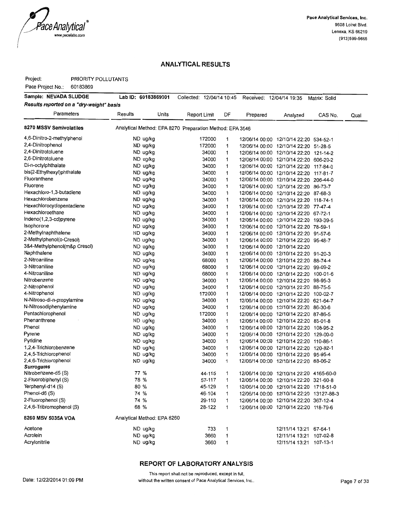

Project: PRIORITY POLLUTANTS

Pace Project No.: 60183869

| Sample: NEVADA SLUDGE                    | Lab ID: 60183869001         |       | Collected: 12/04/14 10:45                                |                   |          | Received: 12/04/14 19:35                                                        | Matrix: Solid |      |
|------------------------------------------|-----------------------------|-------|----------------------------------------------------------|-------------------|----------|---------------------------------------------------------------------------------|---------------|------|
| Results reported on a "dry-weight" basis |                             |       |                                                          |                   |          |                                                                                 |               |      |
| Parameters                               | Results                     | Units | Report Limit                                             | DF                | Prepared | Analyzed                                                                        | CAS No.       | Qual |
| 8270 MSSV Semivolatiles                  |                             |       | Analytical Method: EPA 8270 Preparation Method: EPA 3546 |                   |          |                                                                                 |               |      |
| 4,6-Dinitro-2-methylphenol               | ND ug/kg                    |       | 172000                                                   | 1                 |          | 12/06/14 00:00 12/10/14 22:20 534-52-1                                          |               |      |
| 2,4-Dinitrophenol                        | ND ug/kg                    |       | 172000                                                   | 1                 |          | 12/06/14 00:00 12/10/14 22:20 51-28-5                                           |               |      |
| 2,4-Dinitrotoluene                       | ND ug/kg                    |       | 34000                                                    | $\mathbf{1}$      |          | 12/06/14 00:00 12/10/14 22:20 121-14-2                                          |               |      |
| 2,6-Dinitrotoluene                       | ND ug/kg                    |       | 34000                                                    | 1                 |          | 12/06/14 00:00 12/10/14 22:20 606-20-2                                          |               |      |
| Di-n-octylphthalate                      | ND ug/kg                    |       | 34000                                                    | 1                 |          | 12/06/14 00:00 12/10/14 22:20 117-84-0                                          |               |      |
| bis(2-Ethylhexyl)phthalate               | ND ug/kg                    |       | 34000                                                    | 1                 |          | 12/06/14 00:00 12/10/14 22:20 117-81-7                                          |               |      |
| Fluoranthene                             | ND ug/kg                    |       | 34000                                                    | 1                 |          | 12/06/14 00:00 12/10/14 22:20 206-44-0                                          |               |      |
| Fluorene                                 | ND ug/kg                    |       | 34000                                                    | 1                 |          | 12/06/14 00:00 12/10/14 22:20 86-73-7                                           |               |      |
| Hexachloro-1,3-butadiene                 | ND ug/kg                    |       | 34000                                                    | 1                 |          | 12/06/14 00:00 12/10/14 22:20 87-68-3                                           |               |      |
| Hexachlorobenzene                        | ND ug/kg                    |       | 34000                                                    | 1                 |          | 12/06/14 00:00 12/10/14 22:20 118-74-1                                          |               |      |
| Hexachlorocyclopentadiene                | ND ug/kg                    |       | 34000                                                    | 1                 |          | 12/06/14 00:00 12/10/14 22:20 77-47-4                                           |               |      |
| Hexachloroethane                         | ND ug/kg                    |       | 34000                                                    | 1                 |          | 12/06/14 00:00 12/10/14 22:20 67-72-1                                           |               |      |
| Indeno(1,2,3-cd)pyrene                   | ND ug/kg                    |       | 34000                                                    | 1                 |          | 12/06/14 00:00 12/10/14 22:20 193-39-5                                          |               |      |
| Isophorone                               | ND ug/kg                    |       | 34000                                                    | 1                 |          | 12/06/14 00:00 12/10/14 22:20 78-59-1                                           |               |      |
| 2-Methylnaphthalene                      | ND ug/kg                    |       | 34000                                                    | 1                 |          | 12/06/14 00:00 12/10/14 22:20 91-57-6                                           |               |      |
| 2-Methylphenol(o-Cresol)                 | ND ug/kg                    |       | 34000                                                    | 1                 |          | 12/06/14 00:00 12/10/14 22:20 95-48-7                                           |               |      |
| 3&4-Methylphenol(m&p Cresol)             | ND ug/kg                    |       | 34000                                                    | 1                 |          | 12/06/14 00:00 12/10/14 22:20                                                   |               |      |
| Naphthalene                              | ND ug/kg                    |       | 34000                                                    | 1                 |          | 12/06/14 00:00 12/10/14 22:20 91-20-3                                           |               |      |
| 2-Nitroaniline                           | ND ug/kg                    |       | 68000                                                    | 1                 |          | 12/06/14 00:00 12/10/14 22:20 88-74-4                                           |               |      |
| 3-Nitroaniline                           | ND ug/kg                    |       | 68000                                                    | 1                 |          | 12/06/14 00:00 12/10/14 22:20 99-09-2                                           |               |      |
| 4-Nitroaniline                           | ND ug/kg                    |       | 68000                                                    | 1                 |          | 12/06/14 00:00 12/10/14 22:20 100-01-6                                          |               |      |
| Nitrobenzene                             | ND ug/kg                    |       | 34000                                                    | 1                 |          | 12/06/14 00:00 12/10/14 22:20 98-95-3                                           |               |      |
| 2-Nitrophenol                            | ND ug/kg                    |       | 34000                                                    | 1                 |          | 12/06/14 00:00 12/10/14 22:20 88-75-5                                           |               |      |
| 4-Nitrophenol                            | ND ug/kg                    |       | 172000                                                   | 1                 |          | 12/06/14 00:00 12/10/14 22:20 100-02-7                                          |               |      |
| N-Nitroso-di-n-propylamine               | ND ug/kg                    |       | 34000                                                    | 1                 |          | 12/06/14 00:00 12/10/14 22:20 621-64-7                                          |               |      |
| N-Nitrosodiphenylamine                   | ND ug/kg                    |       | 34000                                                    | 1                 |          | 12/06/14 00:00 12/10/14 22:20 86-30-6                                           |               |      |
| Pentachlorophenol                        | ND ug/kg                    |       | 172000                                                   | 1                 |          | 12/06/14 00:00 12/10/14 22:20 87-86-5                                           |               |      |
| Phenanthrene                             | ND ug/kg                    |       | 34000                                                    | 1                 |          | 12/06/14 00:00 12/10/14 22:20 85-01-8                                           |               |      |
| Phenol                                   | ND ug/kg                    |       | 34000                                                    | 1                 |          | 12/06/14 00:00 12/10/14 22:20 108-95-2                                          |               |      |
| Pyrene<br>Pyridine                       | ND ug/kg                    |       | 34000                                                    | 1                 |          | 12/06/14 00:00 12/10/14 22:20 129-00-0                                          |               |      |
| 1.2.4-Trichlorobenzene                   | ND ug/kg                    |       | 34000                                                    | 1                 |          | 12/06/14 00:00 12/10/14 22:20 110-86-1                                          |               |      |
| 2,4,5-Trichlorophenol                    | ND ug/kg<br>ND ug/kg        |       | 34000<br>34000                                           | $\mathbf{1}$<br>1 |          | 12/06/14 00:00 12/10/14 22:20 120-82-1<br>12/06/14 00:00 12/10/14 22:20 95-95-4 |               |      |
| 2,4,6-Trichlorophenol                    | ND ug/kg                    |       | 34000                                                    | 1                 |          | 12/06/14 00:00 12/10/14 22:20 88-06-2                                           |               |      |
| <b>Surrogates</b>                        |                             |       |                                                          |                   |          |                                                                                 |               |      |
| Nitrobenzene-d5 (S)                      | 77 %                        |       | 44-115                                                   | 1                 |          | 12/06/14 00:00 12/10/14 22:20 4165-60-0                                         |               |      |
| 2-Fluorobiphenyl (S)                     | 78 %                        |       | 57-117                                                   | 1                 |          | 12/06/14 00:00 12/10/14 22:20 321-60-8                                          |               |      |
| Terphenyl-d14 (S)                        | 80 %                        |       | 45-129                                                   | 1                 |          | 12/06/14 00:00 12/10/14 22:20 1718-51-0                                         |               |      |
| Phenol-d6 (S)                            | 74 %                        |       | 46-104                                                   | 1                 |          | 12/06/14 00:00 12/10/14 22:20 13127-88-3                                        |               |      |
| 2-Fluorophenol (S)                       | 74 %                        |       | 29-110                                                   | 1                 |          | 12/06/14 00:00 12/10/14 22:20 367-12-4                                          |               |      |
| 2,4,6-Tribromophenol (S)                 | 68 %                        |       | 28-122                                                   | 1                 |          | 12/06/14 00:00 12/10/14 22:20 118-79-6                                          |               |      |
| 8260 MSV 5035A VOA                       | Analytical Method: EPA 8260 |       |                                                          |                   |          |                                                                                 |               |      |
| Acetone                                  | ND ug/kg                    |       | 733                                                      | 1                 |          | 12/11/14 13:21 67-64-1                                                          |               |      |
| Acrolein                                 | ND ug/kg                    |       | 3660                                                     | 1                 |          | 12/11/14 13:21 107-02-8                                                         |               |      |
| Acrylonitrile                            | ND ug/kg                    |       | 3660                                                     | 1                 |          | 12/11/14 13:21 107-13-1                                                         |               |      |
|                                          |                             |       |                                                          |                   |          |                                                                                 |               |      |

#### REPORT OF LABORATORY ANALYSIS

This report shall not be reproduced, except in full,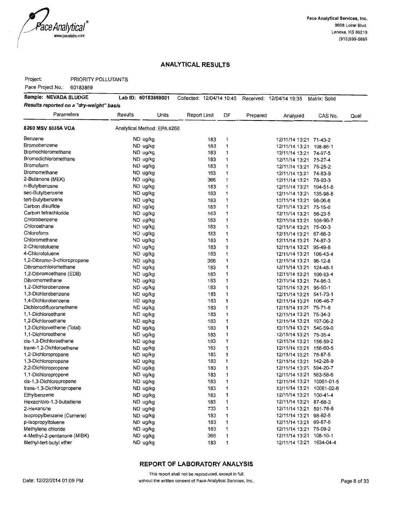

Project: PRIORITY POLLUTANTS

Pace Project No.: 60183869

| Sample: NEVADA SLUDGE                    | Lab ID: 60183869001         |       |              |     |              |          | Collected: 12/04/14 10:45 Received: 12/04/14 19:35 Matrix: Solid |         |      |
|------------------------------------------|-----------------------------|-------|--------------|-----|--------------|----------|------------------------------------------------------------------|---------|------|
| Results reported on a "dry-weight" basis |                             |       |              |     |              |          |                                                                  |         |      |
| Parameters                               | Results                     | Units | Report Limit |     | DF           | Prepared | Analyzed                                                         | CAS No. | Qual |
| 8260 MSV 5035A VOA                       | Analytical Method: EPA 8260 |       |              |     |              |          |                                                                  |         |      |
| Benzene                                  | ND ug/kg                    |       |              | 183 | 1            |          | 12/11/14 13:21 71-43-2                                           |         |      |
| Bromobenzene                             | ND ug/kg                    |       |              | 183 | $\mathbf{1}$ |          | 12/11/14 13:21 108-86-1                                          |         |      |
| Bromochloromethane                       | ND ug/kg                    |       |              | 183 | 1            |          | 12/11/14 13:21 74-97-5                                           |         |      |
| Bromodichloromethane                     | ND ug/kg                    |       |              | 183 | 1            |          | 12/11/14 13:21 75-27-4                                           |         |      |
| <b>Bromoform</b>                         | ND ug/kg                    |       |              | 183 | 1            |          | 12/11/14 13:21 75-25-2                                           |         |      |
| Bromomethane                             | ND ug/kg                    |       |              | 183 | 1            |          | 12/11/14 13:21 74-83-9                                           |         |      |
| 2-Butanone (MEK)                         | ND ug/kg                    |       |              | 366 | 1            |          | 12/11/14 13:21 78-93-3                                           |         |      |
| n-Butylbenzene                           | ND ug/kg                    |       |              | 183 | 1            |          | 12/11/14 13:21 104-51-8                                          |         |      |
| sec-Butylbenzene                         | ND ug/kg                    |       |              | 183 | 1            |          | 12/11/14 13:21 135-98-8                                          |         |      |
| tert-Butylbenzene                        | ND ug/kg                    |       |              | 183 | $\mathbf{1}$ |          | 12/11/14 13:21 98-06-6                                           |         |      |
| Carbon disulfide                         | ND ug/kg                    |       |              | 183 | 1            |          | 12/11/14 13:21 75-15-0                                           |         |      |
| Carbon tetrachloride                     | ND ug/kg                    |       |              | 183 | 1            |          | 12/11/14 13:21 56-23-5                                           |         |      |
| Chlorobenzene                            | ND ug/kg                    |       |              | 183 | 1            |          | 12/11/14 13:21 108-90-7                                          |         |      |
| Chloroethane                             | ND ug/kg                    |       |              | 183 | 1            |          | 12/11/14 13:21 75-00-3                                           |         |      |
| Chloroform                               | ND ug/kg                    |       |              | 183 | 1            |          | 12/11/14 13:21 67-66-3                                           |         |      |
| Chloromethane                            | ND ug/kg                    |       |              | 183 | 1            |          | 12/11/14 13:21 74-87-3                                           |         |      |
| 2-Chlorotoluene                          | ND ug/kg                    |       |              | 183 | 1            |          | 12/11/14 13:21 95-49-8                                           |         |      |
| 4-Chlorotoluene                          | ND ug/kg                    |       |              | 183 | 1            |          | 12/11/14 13:21 106-43-4                                          |         |      |
| 1,2-Dibromo-3-chloropropane              | ND ug/kg                    |       |              | 366 | 1            |          | 12/11/14 13:21 96-12-8                                           |         |      |
| Dibromochloromethane                     | ND ug/kg                    |       |              | 183 | 1            |          | 12/11/14 13:21 124-48-1                                          |         |      |
| 1,2-Dibromoethane (EDB)                  | ND ug/kg                    |       |              | 183 | 1            |          | 12/11/14 13:21 106-93-4                                          |         |      |
| Dibromomethane                           | ND ug/kg                    |       |              | 183 | 1            |          | 12/11/14 13:21 74-95-3                                           |         |      |
| 1,2-Dichlorobenzene                      | ND ug/kg                    |       |              | 183 | 1            |          | 12/11/14 13:21 95-50-1                                           |         |      |
| 1,3-Dichlorobenzene                      | ND ug/kg                    |       |              | 183 | 1            |          | 12/11/14 13:21 541-73-1                                          |         |      |
| 1,4-Dichlorobenzene                      | ND ug/kg                    |       |              | 183 | 1            |          | 12/11/14 13:21 106-46-7                                          |         |      |
| Dichlorodifluoromethane                  | ND ug/kg                    |       |              | 183 | 1            |          | 12/11/14 13:21 75-71-8                                           |         |      |
| 1,1-Dichloroethane                       | ND ug/kg                    |       |              | 183 | 1            |          | 12/11/14 13:21 75-34-3                                           |         |      |
| 1,2-Dichloroethane                       | ND ug/kg                    |       |              | 183 | 1            |          | 12/11/14 13:21 107-06-2                                          |         |      |
| 1,2-Dichloroethene (Total)               | ND ug/kg                    |       |              | 183 | 1            |          | 12/11/14 13:21 540-59-0                                          |         |      |
| 1,1-Dichloroethene                       | ND ug/kg                    |       |              | 183 | 1            |          | 12/11/14 13:21 75-35-4                                           |         |      |
| cis-1,2-Dichloroethene                   | ND ug/kg                    |       |              | 183 | 1            |          | 12/11/14 13:21 156-59-2                                          |         |      |
| trans-1.2-Dichloroethene                 | ND ug/kg                    |       |              | 183 | 1            |          | 12/11/14 13:21 156-60-5                                          |         |      |
| 1,2-Dichloropropane                      | ND ug/kg                    |       |              | 183 | 1            |          | 12/11/14 13:21 78-87-5                                           |         |      |
| 1,3-Dichloropropane                      | ND ug/kg                    |       |              | 183 | 1            |          | 12/11/14 13:21 142-28-9                                          |         |      |
| 2,2-Dichloropropane                      | ND ug/kg                    |       |              | 183 | 1            |          | 12/11/14 13:21 594-20-7                                          |         |      |
| 1,1-Dichloropropene                      | ND ug/kg                    |       |              | 183 | 1            |          | 12/11/14 13:21 563-58-6                                          |         |      |
| cis-1,3-Dichloropropene                  | ND ug/kg                    |       |              | 183 | 1            |          | 12/11/14 13:21 10061-01-5                                        |         |      |
| trans-1,3-Dichloropropene                | ND ug/kg                    |       |              | 183 | 1            |          | 12/11/14 13:21 10061-02-6                                        |         |      |
| Ethylbenzene                             | ND ug/kg                    |       |              | 183 | 1            |          | 12/11/14 13:21 100-41-4                                          |         |      |
| Hexachloro-1,3-butadiene                 | ND ug/kg                    |       |              | 183 | 1            |          | 12/11/14 13:21 87-68-3                                           |         |      |
| 2-Hexanone                               | ND ug/kg                    |       |              | 733 | 1            |          | 12/11/14 13:21 591-78-6                                          |         |      |
| Isopropylbenzene (Cumene)                | ND ug/kg                    |       |              | 183 | 1            |          | 12/11/14 13:21 98-82-8                                           |         |      |
| p-Isopropyltoluene                       | ND ug/kg                    |       |              | 183 | 1            |          | 12/11/14 13:21 99-87-6                                           |         |      |
| Methylene chloride                       | ND ug/kg                    |       |              | 183 | 1            |          | 12/11/14 13:21 75-09-2                                           |         |      |
| 4-Methyl-2-pentanone (MIBK)              | ND ug/kg                    |       |              | 366 | 1            |          | 12/11/14 13:21 108-10-1                                          |         |      |
| Methyl-tert-butyl ether                  | ND ug/kg                    |       |              | 183 | 1            |          | 12/11/14 13:21 1634-04-4                                         |         |      |

#### REPORT OF LABORATORY ANALYSIS

This report shall not be reproduced, except in full, without the written consent of Pace Analytical Services, Inc..